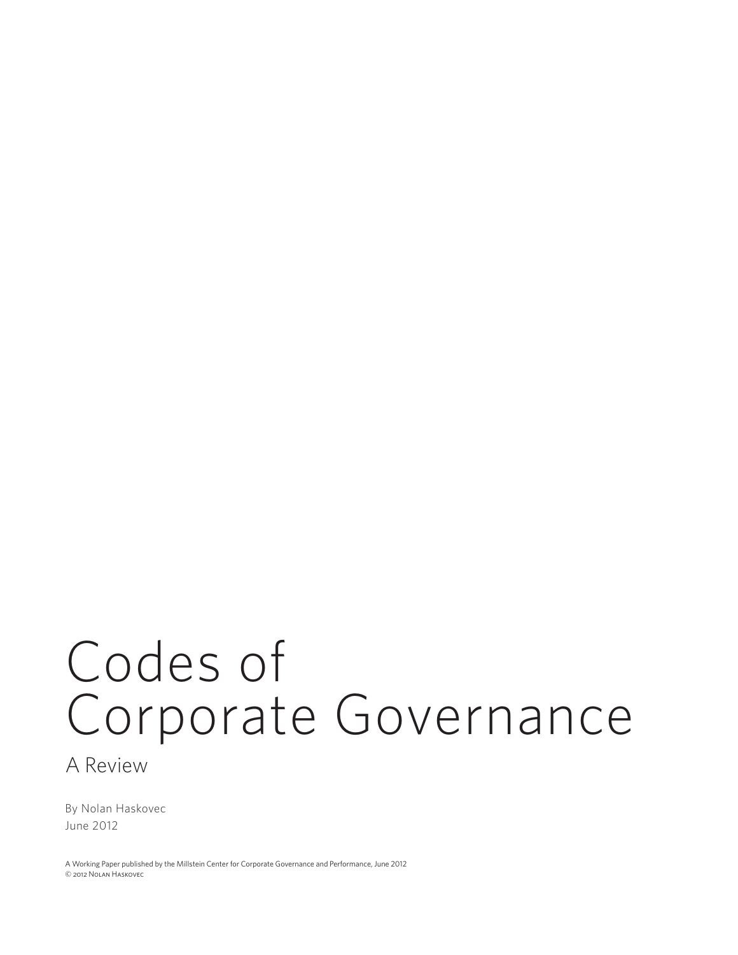# Codes of Corporate Governance

A Review

By Nolan Haskovec June 2012

© 2012 Nolan Haskovec A Working Paper published by the Millstein Center for Corporate Governance and Performance, June 2012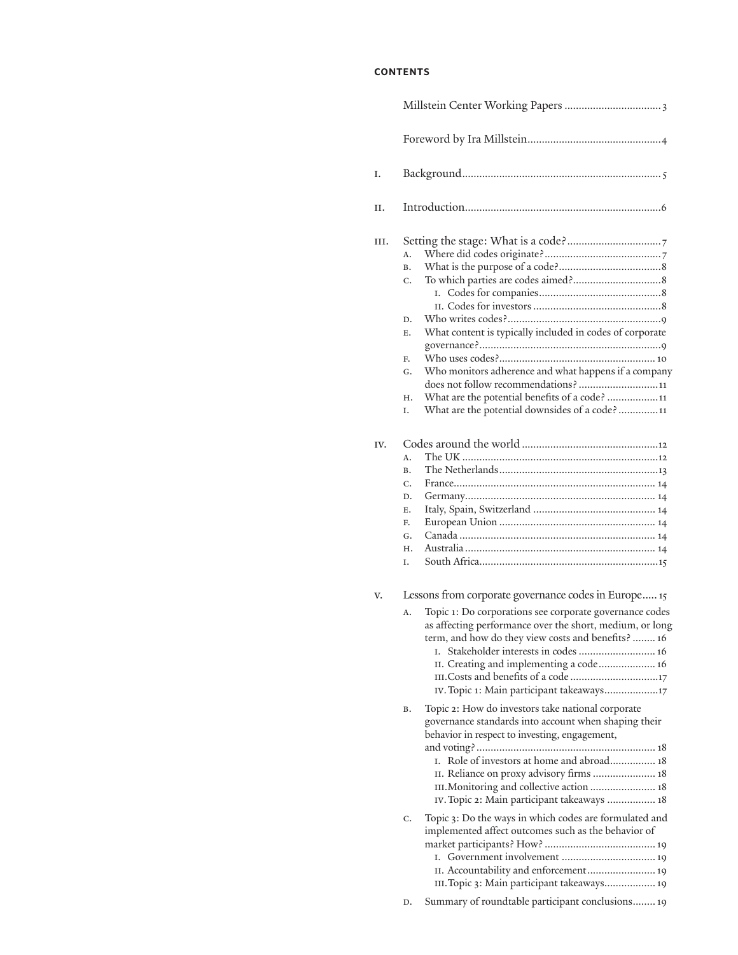# **contents**

| Ι.  |                                                      |                                                                                                                                                            |  |  |
|-----|------------------------------------------------------|------------------------------------------------------------------------------------------------------------------------------------------------------------|--|--|
| Η.  |                                                      |                                                                                                                                                            |  |  |
| Ш.  |                                                      |                                                                                                                                                            |  |  |
|     | Α.<br>В.                                             |                                                                                                                                                            |  |  |
|     | C.                                                   |                                                                                                                                                            |  |  |
|     | D.                                                   |                                                                                                                                                            |  |  |
|     | Е.                                                   | What content is typically included in codes of corporate                                                                                                   |  |  |
|     | F.                                                   |                                                                                                                                                            |  |  |
|     | G.                                                   | Who monitors adherence and what happens if a company                                                                                                       |  |  |
|     |                                                      | does not follow recommendations?11                                                                                                                         |  |  |
|     | Н.<br>Ι.                                             | What are the potential benefits of a code? 11<br>What are the potential downsides of a code? 11                                                            |  |  |
|     |                                                      |                                                                                                                                                            |  |  |
| IV. | Α.                                                   |                                                                                                                                                            |  |  |
|     | В.                                                   |                                                                                                                                                            |  |  |
|     | C.                                                   |                                                                                                                                                            |  |  |
|     | D.                                                   |                                                                                                                                                            |  |  |
|     | Е.                                                   |                                                                                                                                                            |  |  |
|     | F.                                                   |                                                                                                                                                            |  |  |
|     | G.                                                   |                                                                                                                                                            |  |  |
|     | Н.                                                   |                                                                                                                                                            |  |  |
|     | I.                                                   |                                                                                                                                                            |  |  |
| V.  | Lessons from corporate governance codes in Europe 15 |                                                                                                                                                            |  |  |
|     | А.                                                   | Topic 1: Do corporations see corporate governance codes                                                                                                    |  |  |
|     |                                                      | as affecting performance over the short, medium, or long                                                                                                   |  |  |
|     |                                                      | term, and how do they view costs and benefits?  16                                                                                                         |  |  |
|     |                                                      | I. Stakeholder interests in codes  16                                                                                                                      |  |  |
|     |                                                      | II. Creating and implementing a code 16<br>III.Costs and benefits of a code 17                                                                             |  |  |
|     |                                                      | IV. Topic 1: Main participant takeaways17                                                                                                                  |  |  |
|     |                                                      |                                                                                                                                                            |  |  |
|     | В.                                                   | Topic 2: How do investors take national corporate<br>governance standards into account when shaping their<br>behavior in respect to investing, engagement, |  |  |
|     |                                                      | Role of investors at home and abroad 18<br>L.                                                                                                              |  |  |
|     |                                                      | II. Reliance on proxy advisory firms  18                                                                                                                   |  |  |
|     |                                                      | III. Monitoring and collective action  18<br>IV. Topic 2: Main participant takeaways  18                                                                   |  |  |
|     | C.                                                   | Topic 3: Do the ways in which codes are formulated and<br>implemented affect outcomes such as the behavior of<br>L.                                        |  |  |
|     |                                                      | II. Accountability and enforcement 19<br>III. Topic 3: Main participant takeaways 19                                                                       |  |  |
|     | D.                                                   | Summary of roundtable participant conclusions 19                                                                                                           |  |  |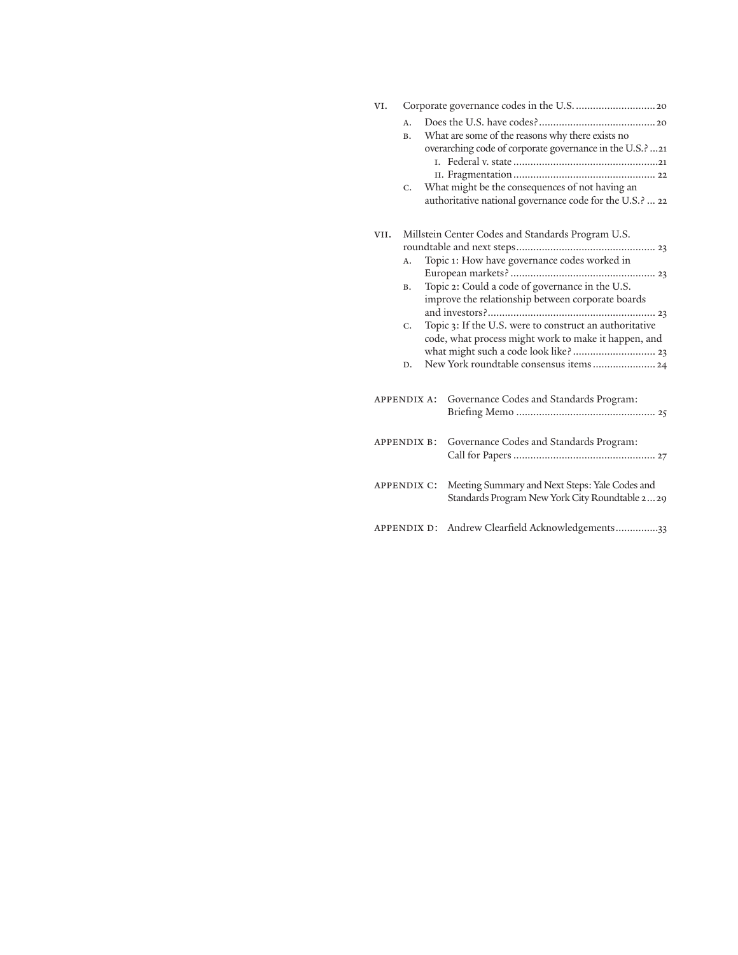| VI.                |                                                   |                                                                                                                                                                                                                         |  |  |
|--------------------|---------------------------------------------------|-------------------------------------------------------------------------------------------------------------------------------------------------------------------------------------------------------------------------|--|--|
|                    | А.<br>В.                                          | What are some of the reasons why there exists no<br>overarching code of corporate governance in the U.S.? 21                                                                                                            |  |  |
|                    | $C_{\star}$                                       | What might be the consequences of not having an<br>authoritative national governance code for the U.S.?  22                                                                                                             |  |  |
| VII.               | Millstein Center Codes and Standards Program U.S. |                                                                                                                                                                                                                         |  |  |
|                    | A.                                                | Topic 1: How have governance codes worked in                                                                                                                                                                            |  |  |
|                    |                                                   |                                                                                                                                                                                                                         |  |  |
|                    | В.                                                | Topic 2: Could a code of governance in the U.S.<br>improve the relationship between corporate boards<br>Topic 3: If the U.S. were to construct an authoritative<br>code, what process might work to make it happen, and |  |  |
|                    | C.                                                |                                                                                                                                                                                                                         |  |  |
|                    | D.                                                |                                                                                                                                                                                                                         |  |  |
| <b>APPENDIX A:</b> |                                                   | Governance Codes and Standards Program:                                                                                                                                                                                 |  |  |
| <b>APPENDIX B:</b> |                                                   | Governance Codes and Standards Program:                                                                                                                                                                                 |  |  |
| <b>APPENDIX C:</b> |                                                   | Meeting Summary and Next Steps: Yale Codes and<br>Standards Program New York City Roundtable 229                                                                                                                        |  |  |
| APPENDIX D:        |                                                   | Andrew Clearfield Acknowledgements33                                                                                                                                                                                    |  |  |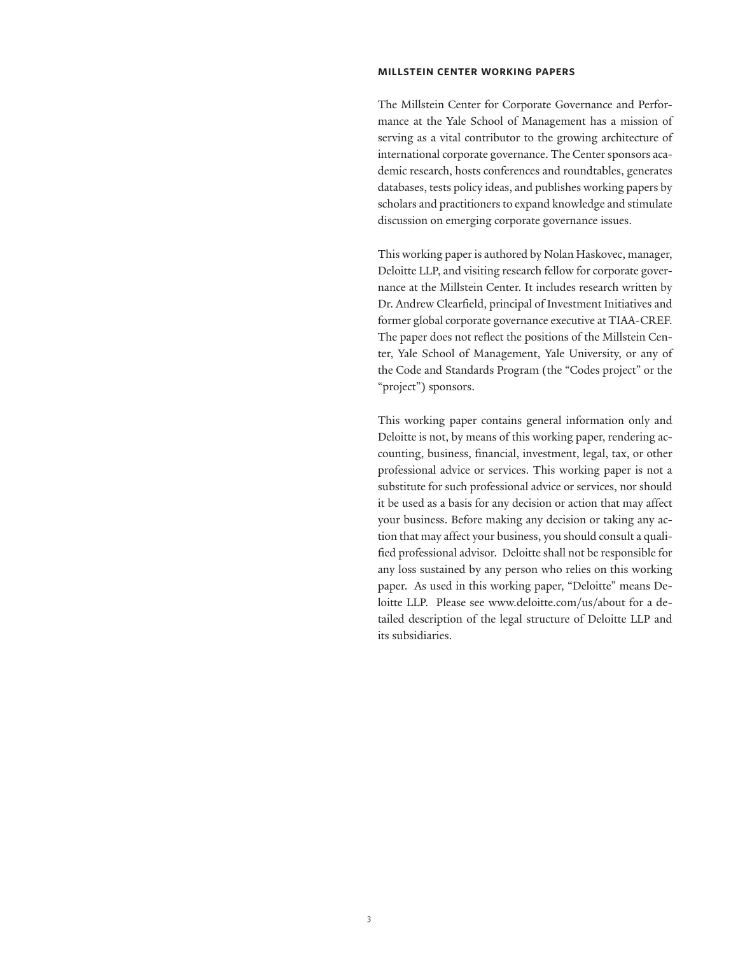#### **millstein center working papers**

The Millstein Center for Corporate Governance and Performance at the Yale School of Management has a mission of serving as a vital contributor to the growing architecture of international corporate governance. The Center sponsors academic research, hosts conferences and roundtables, generates databases, tests policy ideas, and publishes working papers by scholars and practitioners to expand knowledge and stimulate discussion on emerging corporate governance issues.

This working paper is authored by Nolan Haskovec, manager, Deloitte LLP, and visiting research fellow for corporate governance at the Millstein Center. It includes research written by Dr. Andrew Clearfield, principal of Investment Initiatives and former global corporate governance executive at TIAA-CREF. The paper does not reflect the positions of the Millstein Center, Yale School of Management, Yale University, or any of the Code and Standards Program (the "Codes project" or the "project") sponsors.

This working paper contains general information only and Deloitte is not, by means of this working paper, rendering accounting, business, financial, investment, legal, tax, or other professional advice or services. This working paper is not a substitute for such professional advice or services, nor should it be used as a basis for any decision or action that may affect your business. Before making any decision or taking any action that may affect your business, you should consult a qualified professional advisor. Deloitte shall not be responsible for any loss sustained by any person who relies on this working paper. As used in this working paper, "Deloitte" means Deloitte LLP. Please see www.deloitte.com/us/about for a detailed description of the legal structure of Deloitte LLP and its subsidiaries.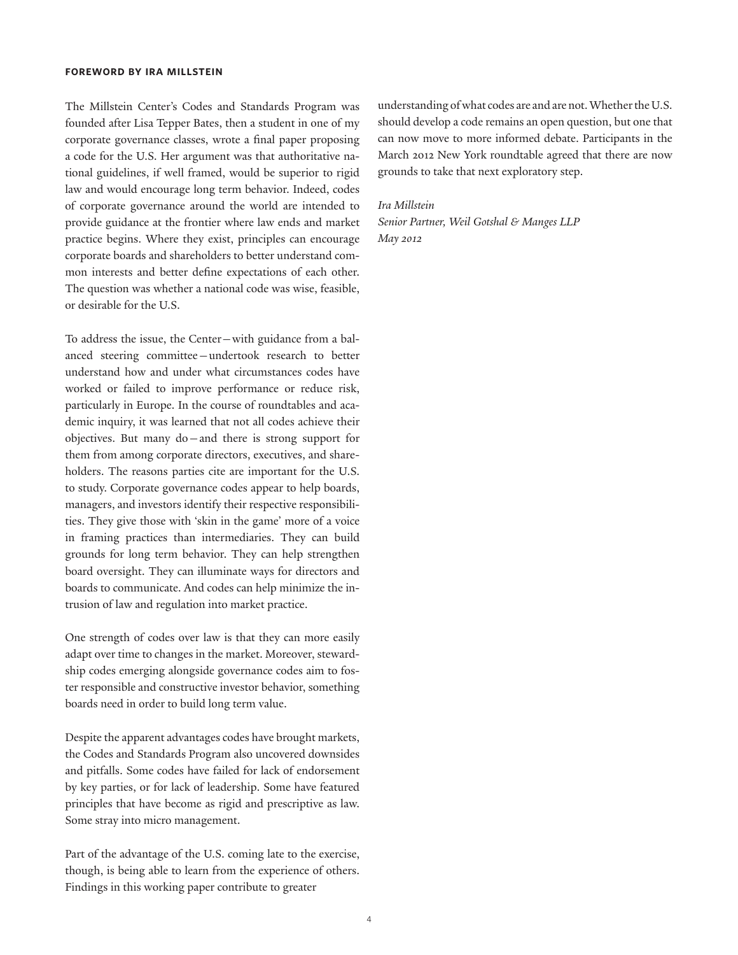#### **foreword by ira millstein**

The Millstein Center's Codes and Standards Program was founded after Lisa Tepper Bates, then a student in one of my corporate governance classes, wrote a final paper proposing a code for the U.S. Her argument was that authoritative national guidelines, if well framed, would be superior to rigid law and would encourage long term behavior. Indeed, codes of corporate governance around the world are intended to provide guidance at the frontier where law ends and market practice begins. Where they exist, principles can encourage corporate boards and shareholders to better understand common interests and better define expectations of each other. The question was whether a national code was wise, feasible, or desirable for the U.S.

To address the issue, the Center—with guidance from a balanced steering committee—undertook research to better understand how and under what circumstances codes have worked or failed to improve performance or reduce risk, particularly in Europe. In the course of roundtables and academic inquiry, it was learned that not all codes achieve their objectives. But many do—and there is strong support for them from among corporate directors, executives, and shareholders. The reasons parties cite are important for the U.S. to study. Corporate governance codes appear to help boards, managers, and investors identify their respective responsibilities. They give those with 'skin in the game' more of a voice in framing practices than intermediaries. They can build grounds for long term behavior. They can help strengthen board oversight. They can illuminate ways for directors and boards to communicate. And codes can help minimize the intrusion of law and regulation into market practice.

One strength of codes over law is that they can more easily adapt over time to changes in the market. Moreover, stewardship codes emerging alongside governance codes aim to foster responsible and constructive investor behavior, something boards need in order to build long term value.

Despite the apparent advantages codes have brought markets, the Codes and Standards Program also uncovered downsides and pitfalls. Some codes have failed for lack of endorsement by key parties, or for lack of leadership. Some have featured principles that have become as rigid and prescriptive as law. Some stray into micro management.

Part of the advantage of the U.S. coming late to the exercise, though, is being able to learn from the experience of others. Findings in this working paper contribute to greater

understanding of what codes are and are not. Whether the U.S. should develop a code remains an open question, but one that can now move to more informed debate. Participants in the March 2012 New York roundtable agreed that there are now grounds to take that next exploratory step.

#### *Ira Millstein*

*Senior Partner, Weil Gotshal & Manges LLP May 2012*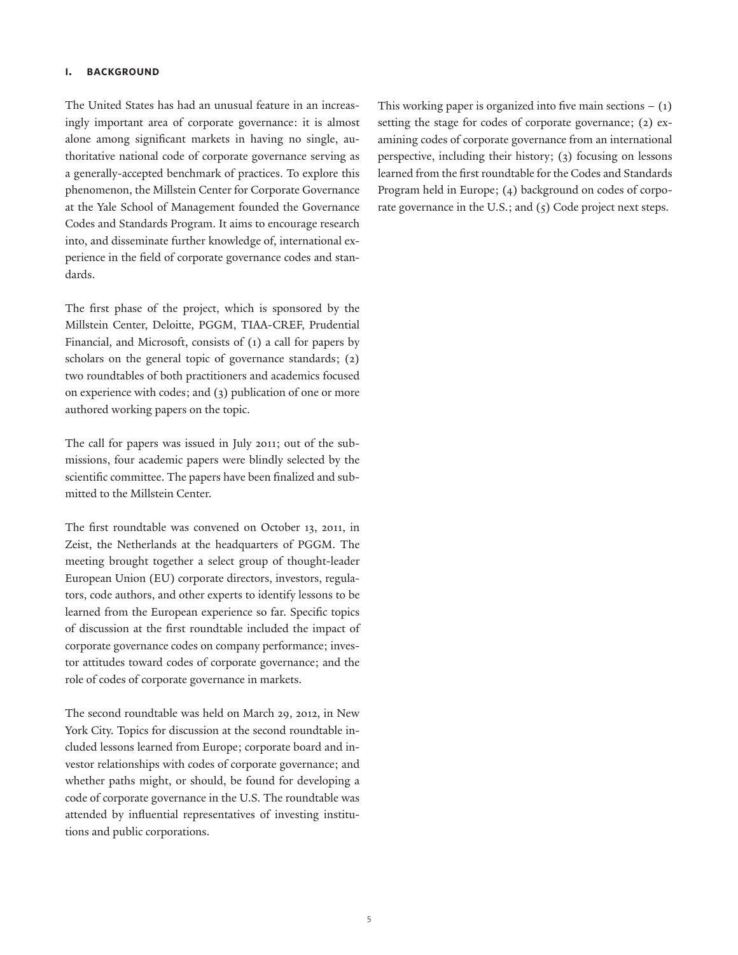### **i. background**

The United States has had an unusual feature in an increasingly important area of corporate governance: it is almost alone among significant markets in having no single, authoritative national code of corporate governance serving as a generally-accepted benchmark of practices. To explore this phenomenon, the Millstein Center for Corporate Governance at the Yale School of Management founded the Governance Codes and Standards Program. It aims to encourage research into, and disseminate further knowledge of, international experience in the field of corporate governance codes and standards.

The first phase of the project, which is sponsored by the Millstein Center, Deloitte, PGGM, TIAA-CREF, Prudential Financial, and Microsoft, consists of (1) a call for papers by scholars on the general topic of governance standards; (2) two roundtables of both practitioners and academics focused on experience with codes; and (3) publication of one or more authored working papers on the topic.

The call for papers was issued in July 2011; out of the submissions, four academic papers were blindly selected by the scientific committee. The papers have been finalized and submitted to the Millstein Center.

The first roundtable was convened on October 13, 2011, in Zeist, the Netherlands at the headquarters of PGGM. The meeting brought together a select group of thought-leader European Union (EU) corporate directors, investors, regulators, code authors, and other experts to identify lessons to be learned from the European experience so far. Specific topics of discussion at the first roundtable included the impact of corporate governance codes on company performance; investor attitudes toward codes of corporate governance; and the role of codes of corporate governance in markets.

The second roundtable was held on March 29, 2012, in New York City. Topics for discussion at the second roundtable included lessons learned from Europe; corporate board and investor relationships with codes of corporate governance; and whether paths might, or should, be found for developing a code of corporate governance in the U.S. The roundtable was attended by influential representatives of investing institutions and public corporations.

This working paper is organized into five main sections  $- (1)$ setting the stage for codes of corporate governance; (2) examining codes of corporate governance from an international perspective, including their history; (3) focusing on lessons learned from the first roundtable for the Codes and Standards Program held in Europe; (4) background on codes of corporate governance in the U.S.; and (5) Code project next steps.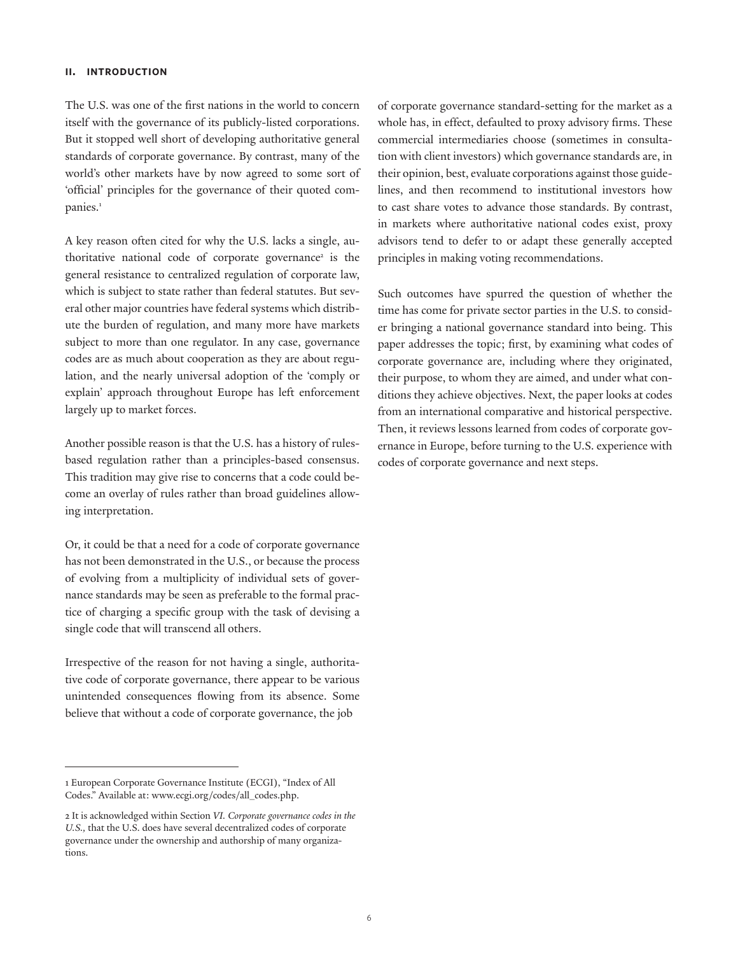## **ii. introduction**

The U.S. was one of the first nations in the world to concern itself with the governance of its publicly-listed corporations. But it stopped well short of developing authoritative general standards of corporate governance. By contrast, many of the world's other markets have by now agreed to some sort of 'official' principles for the governance of their quoted companies.<sup>1</sup>

A key reason often cited for why the U.S. lacks a single, authoritative national code of corporate governance<sup>2</sup> is the general resistance to centralized regulation of corporate law, which is subject to state rather than federal statutes. But several other major countries have federal systems which distribute the burden of regulation, and many more have markets subject to more than one regulator. In any case, governance codes are as much about cooperation as they are about regulation, and the nearly universal adoption of the 'comply or explain' approach throughout Europe has left enforcement largely up to market forces.

Another possible reason is that the U.S. has a history of rulesbased regulation rather than a principles-based consensus. This tradition may give rise to concerns that a code could become an overlay of rules rather than broad guidelines allowing interpretation.

Or, it could be that a need for a code of corporate governance has not been demonstrated in the U.S., or because the process of evolving from a multiplicity of individual sets of governance standards may be seen as preferable to the formal practice of charging a specific group with the task of devising a single code that will transcend all others.

Irrespective of the reason for not having a single, authoritative code of corporate governance, there appear to be various unintended consequences flowing from its absence. Some believe that without a code of corporate governance, the job

of corporate governance standard-setting for the market as a whole has, in effect, defaulted to proxy advisory firms. These commercial intermediaries choose (sometimes in consultation with client investors) which governance standards are, in their opinion, best, evaluate corporations against those guidelines, and then recommend to institutional investors how to cast share votes to advance those standards. By contrast, in markets where authoritative national codes exist, proxy advisors tend to defer to or adapt these generally accepted principles in making voting recommendations.

Such outcomes have spurred the question of whether the time has come for private sector parties in the U.S. to consider bringing a national governance standard into being. This paper addresses the topic; first, by examining what codes of corporate governance are, including where they originated, their purpose, to whom they are aimed, and under what conditions they achieve objectives. Next, the paper looks at codes from an international comparative and historical perspective. Then, it reviews lessons learned from codes of corporate governance in Europe, before turning to the U.S. experience with codes of corporate governance and next steps.

<sup>1</sup> European Corporate Governance Institute (ECGI), "Index of All Codes." Available at: www.ecgi.org/codes/all\_codes.php.

<sup>2</sup> It is acknowledged within Section *VI. Corporate governance codes in the U.S.,* that the U.S. does have several decentralized codes of corporate governance under the ownership and authorship of many organizations.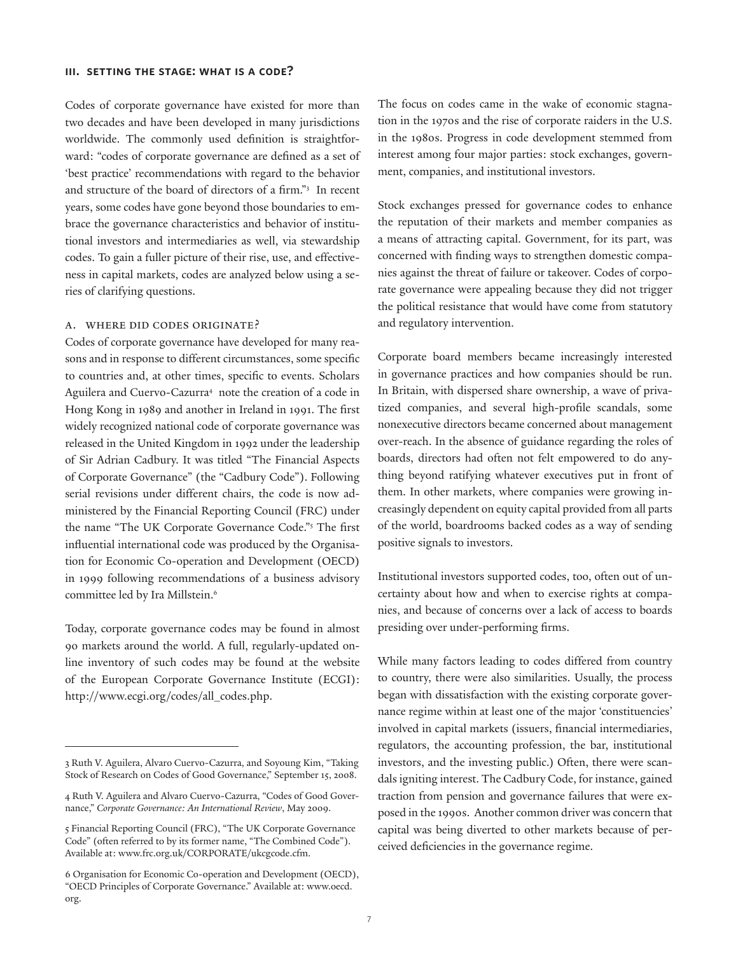#### **iii. setting the stage: what is a code?**

Codes of corporate governance have existed for more than two decades and have been developed in many jurisdictions worldwide. The commonly used definition is straightforward: "codes of corporate governance are defined as a set of 'best practice' recommendations with regard to the behavior and structure of the board of directors of a firm."3 In recent years, some codes have gone beyond those boundaries to embrace the governance characteristics and behavior of institutional investors and intermediaries as well, via stewardship codes. To gain a fuller picture of their rise, use, and effectiveness in capital markets, codes are analyzed below using a series of clarifying questions.

#### a. Where did codes originate?

Codes of corporate governance have developed for many reasons and in response to different circumstances, some specific to countries and, at other times, specific to events. Scholars Aguilera and Cuervo-Cazurra<sup>4</sup> note the creation of a code in Hong Kong in 1989 and another in Ireland in 1991. The first widely recognized national code of corporate governance was released in the United Kingdom in 1992 under the leadership of Sir Adrian Cadbury. It was titled "The Financial Aspects of Corporate Governance" (the "Cadbury Code"). Following serial revisions under different chairs, the code is now administered by the Financial Reporting Council (FRC) under the name "The UK Corporate Governance Code."5 The first influential international code was produced by the Organisation for Economic Co-operation and Development (OECD) in 1999 following recommendations of a business advisory committee led by Ira Millstein.6

Today, corporate governance codes may be found in almost 90 markets around the world. A full, regularly-updated online inventory of such codes may be found at the website of the European Corporate Governance Institute (ECGI): http://www.ecgi.org/codes/all\_codes.php.

The focus on codes came in the wake of economic stagnation in the 1970s and the rise of corporate raiders in the U.S. in the 1980s. Progress in code development stemmed from interest among four major parties: stock exchanges, government, companies, and institutional investors.

Stock exchanges pressed for governance codes to enhance the reputation of their markets and member companies as a means of attracting capital. Government, for its part, was concerned with finding ways to strengthen domestic companies against the threat of failure or takeover. Codes of corporate governance were appealing because they did not trigger the political resistance that would have come from statutory and regulatory intervention.

Corporate board members became increasingly interested in governance practices and how companies should be run. In Britain, with dispersed share ownership, a wave of privatized companies, and several high-profile scandals, some nonexecutive directors became concerned about management over-reach. In the absence of guidance regarding the roles of boards, directors had often not felt empowered to do anything beyond ratifying whatever executives put in front of them. In other markets, where companies were growing increasingly dependent on equity capital provided from all parts of the world, boardrooms backed codes as a way of sending positive signals to investors.

Institutional investors supported codes, too, often out of uncertainty about how and when to exercise rights at companies, and because of concerns over a lack of access to boards presiding over under-performing firms.

While many factors leading to codes differed from country to country, there were also similarities. Usually, the process began with dissatisfaction with the existing corporate governance regime within at least one of the major 'constituencies' involved in capital markets (issuers, financial intermediaries, regulators, the accounting profession, the bar, institutional investors, and the investing public.) Often, there were scandals igniting interest. The Cadbury Code, for instance, gained traction from pension and governance failures that were exposed in the 1990s. Another common driver was concern that capital was being diverted to other markets because of perceived deficiencies in the governance regime.

<sup>3</sup> Ruth V. Aguilera, Alvaro Cuervo-Cazurra, and Soyoung Kim, "Taking Stock of Research on Codes of Good Governance," September 15, 2008.

<sup>4</sup> Ruth V. Aguilera and Alvaro Cuervo-Cazurra, "Codes of Good Governance," *Corporate Governance: An International Review*, May 2009.

<sup>5</sup> Financial Reporting Council (FRC), "The UK Corporate Governance Code" (often referred to by its former name, "The Combined Code"). Available at: www.frc.org.uk/CORPORATE/ukcgcode.cfm.

<sup>6</sup> Organisation for Economic Co-operation and Development (OECD), "OECD Principles of Corporate Governance." Available at: www.oecd. org.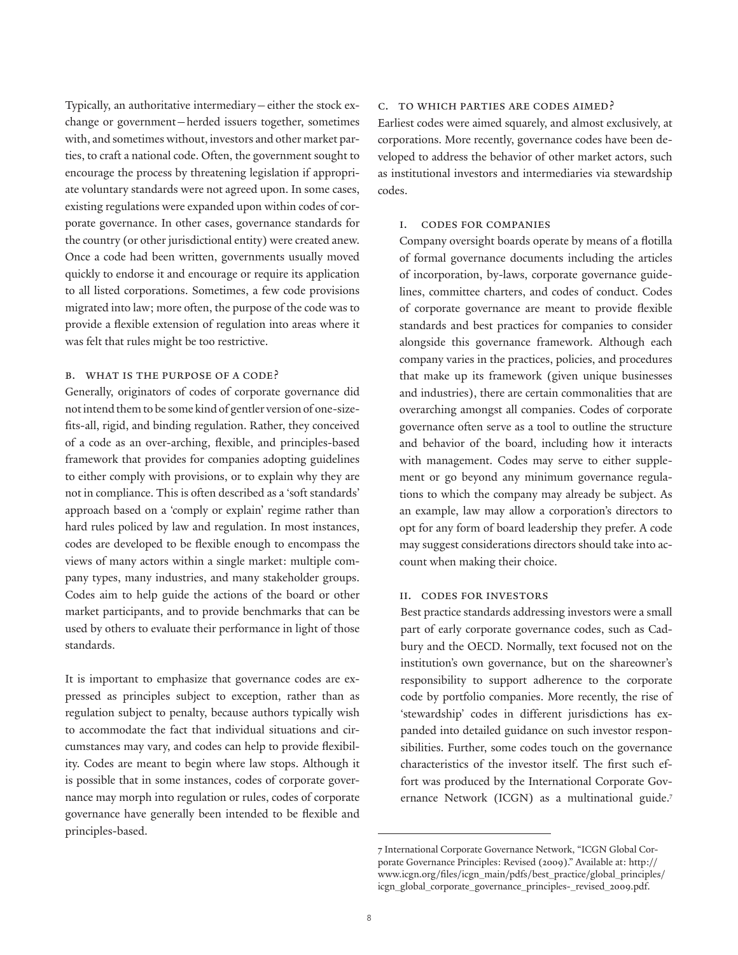Typically, an authoritative intermediary—either the stock exchange or government—herded issuers together, sometimes with, and sometimes without, investors and other market parties, to craft a national code. Often, the government sought to encourage the process by threatening legislation if appropriate voluntary standards were not agreed upon. In some cases, existing regulations were expanded upon within codes of corporate governance. In other cases, governance standards for the country (or other jurisdictional entity) were created anew. Once a code had been written, governments usually moved quickly to endorse it and encourage or require its application to all listed corporations. Sometimes, a few code provisions migrated into law; more often, the purpose of the code was to provide a flexible extension of regulation into areas where it was felt that rules might be too restrictive.

## b. What is the purpose of a code?

Generally, originators of codes of corporate governance did not intend them to be some kind of gentler version of one-sizefits-all, rigid, and binding regulation. Rather, they conceived of a code as an over-arching, flexible, and principles-based framework that provides for companies adopting guidelines to either comply with provisions, or to explain why they are not in compliance. This is often described as a 'soft standards' approach based on a 'comply or explain' regime rather than hard rules policed by law and regulation. In most instances, codes are developed to be flexible enough to encompass the views of many actors within a single market: multiple company types, many industries, and many stakeholder groups. Codes aim to help guide the actions of the board or other market participants, and to provide benchmarks that can be used by others to evaluate their performance in light of those standards.

It is important to emphasize that governance codes are expressed as principles subject to exception, rather than as regulation subject to penalty, because authors typically wish to accommodate the fact that individual situations and circumstances may vary, and codes can help to provide flexibility. Codes are meant to begin where law stops. Although it is possible that in some instances, codes of corporate governance may morph into regulation or rules, codes of corporate governance have generally been intended to be flexible and principles-based.

# c. To which parties are codes aimed?

Earliest codes were aimed squarely, and almost exclusively, at corporations. More recently, governance codes have been developed to address the behavior of other market actors, such as institutional investors and intermediaries via stewardship codes.

## i. Codes for companies

Company oversight boards operate by means of a flotilla of formal governance documents including the articles of incorporation, by-laws, corporate governance guidelines, committee charters, and codes of conduct. Codes of corporate governance are meant to provide flexible standards and best practices for companies to consider alongside this governance framework. Although each company varies in the practices, policies, and procedures that make up its framework (given unique businesses and industries), there are certain commonalities that are overarching amongst all companies. Codes of corporate governance often serve as a tool to outline the structure and behavior of the board, including how it interacts with management. Codes may serve to either supplement or go beyond any minimum governance regulations to which the company may already be subject. As an example, law may allow a corporation's directors to opt for any form of board leadership they prefer. A code may suggest considerations directors should take into account when making their choice.

# ii. Codes for investors

Best practice standards addressing investors were a small part of early corporate governance codes, such as Cadbury and the OECD. Normally, text focused not on the institution's own governance, but on the shareowner's responsibility to support adherence to the corporate code by portfolio companies. More recently, the rise of 'stewardship' codes in different jurisdictions has expanded into detailed guidance on such investor responsibilities. Further, some codes touch on the governance characteristics of the investor itself. The first such effort was produced by the International Corporate Governance Network (ICGN) as a multinational guide.7

<sup>7</sup> International Corporate Governance Network, "ICGN Global Corporate Governance Principles: Revised (2009)." Available at: http:// www.icgn.org/files/icgn\_main/pdfs/best\_practice/global\_principles/ icgn\_global\_corporate\_governance\_principles-\_revised\_2009.pdf.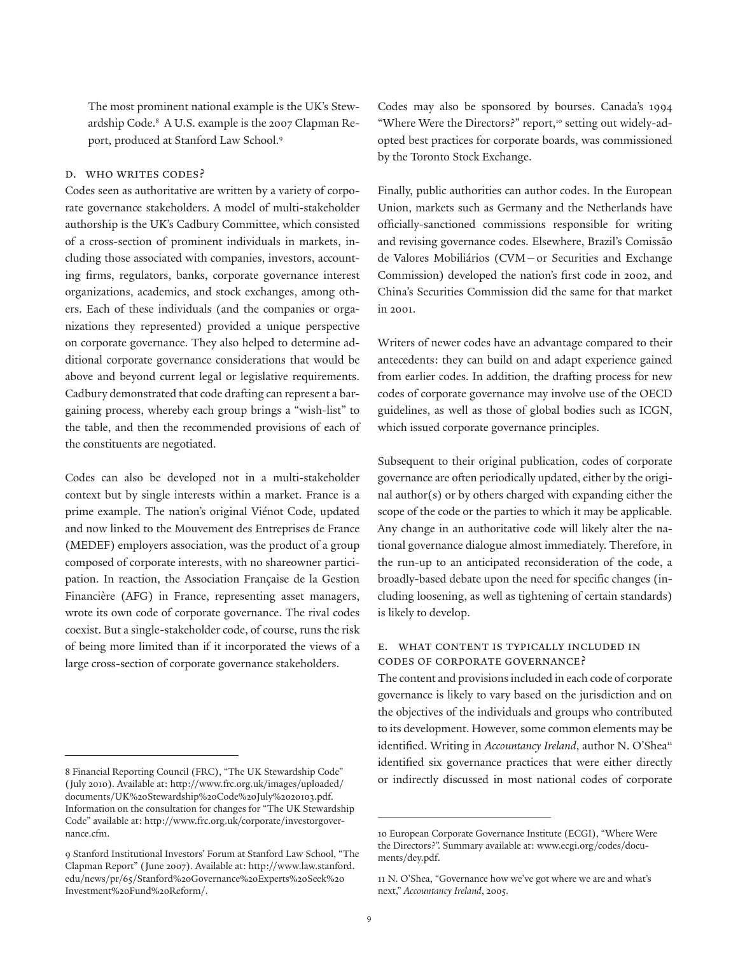The most prominent national example is the UK's Stewardship Code.8 A U.S. example is the 2007 Clapman Report, produced at Stanford Law School.<sup>9</sup>

#### d. Who writes codes?

Codes seen as authoritative are written by a variety of corporate governance stakeholders. A model of multi-stakeholder authorship is the UK's Cadbury Committee, which consisted of a cross-section of prominent individuals in markets, including those associated with companies, investors, accounting firms, regulators, banks, corporate governance interest organizations, academics, and stock exchanges, among others. Each of these individuals (and the companies or organizations they represented) provided a unique perspective on corporate governance. They also helped to determine additional corporate governance considerations that would be above and beyond current legal or legislative requirements. Cadbury demonstrated that code drafting can represent a bargaining process, whereby each group brings a "wish-list" to the table, and then the recommended provisions of each of the constituents are negotiated.

Codes can also be developed not in a multi-stakeholder context but by single interests within a market. France is a prime example. The nation's original Viénot Code, updated and now linked to the Mouvement des Entreprises de France (MEDEF) employers association, was the product of a group composed of corporate interests, with no shareowner participation. In reaction, the Association Française de la Gestion Financière (AFG) in France, representing asset managers, wrote its own code of corporate governance. The rival codes coexist. But a single-stakeholder code, of course, runs the risk of being more limited than if it incorporated the views of a large cross-section of corporate governance stakeholders.

Codes may also be sponsored by bourses. Canada's 1994 "Where Were the Directors?" report,<sup>10</sup> setting out widely-adopted best practices for corporate boards, was commissioned by the Toronto Stock Exchange.

Finally, public authorities can author codes. In the European Union, markets such as Germany and the Netherlands have officially-sanctioned commissions responsible for writing and revising governance codes. Elsewhere, Brazil's Comissão de Valores Mobiliários (CVM—or Securities and Exchange Commission) developed the nation's first code in 2002, and China's Securities Commission did the same for that market in 2001.

Writers of newer codes have an advantage compared to their antecedents: they can build on and adapt experience gained from earlier codes. In addition, the drafting process for new codes of corporate governance may involve use of the OECD guidelines, as well as those of global bodies such as ICGN, which issued corporate governance principles.

Subsequent to their original publication, codes of corporate governance are often periodically updated, either by the original author(s) or by others charged with expanding either the scope of the code or the parties to which it may be applicable. Any change in an authoritative code will likely alter the national governance dialogue almost immediately. Therefore, in the run-up to an anticipated reconsideration of the code, a broadly-based debate upon the need for specific changes (including loosening, as well as tightening of certain standards) is likely to develop.

# e. What content is typically included in codes of corporate governance?

The content and provisions included in each code of corporate governance is likely to vary based on the jurisdiction and on the objectives of the individuals and groups who contributed to its development. However, some common elements may be identified. Writing in *Accountancy Ireland*, author N. O'Shea<sup>11</sup> identified six governance practices that were either directly or indirectly discussed in most national codes of corporate

<sup>8</sup> Financial Reporting Council (FRC), "The UK Stewardship Code" (July 2010). Available at: http://www.frc.org.uk/images/uploaded/ documents/UK%20Stewardship%20Code%20July%2020103.pdf. Information on the consultation for changes for "The UK Stewardship Code" available at: http://www.frc.org.uk/corporate/investorgovernance.cfm.

<sup>9</sup> Stanford Institutional Investors' Forum at Stanford Law School, "The Clapman Report" (June 2007). Available at: http://www.law.stanford. edu/news/pr/65/Stanford%20Governance%20Experts%20Seek%20 Investment%20Fund%20Reform/.

<sup>10</sup> European Corporate Governance Institute (ECGI), "Where Were the Directors?". Summary available at: www.ecgi.org/codes/documents/dey.pdf.

<sup>11</sup> N. O'Shea, "Governance how we've got where we are and what's next," *Accountancy Ireland*, 2005.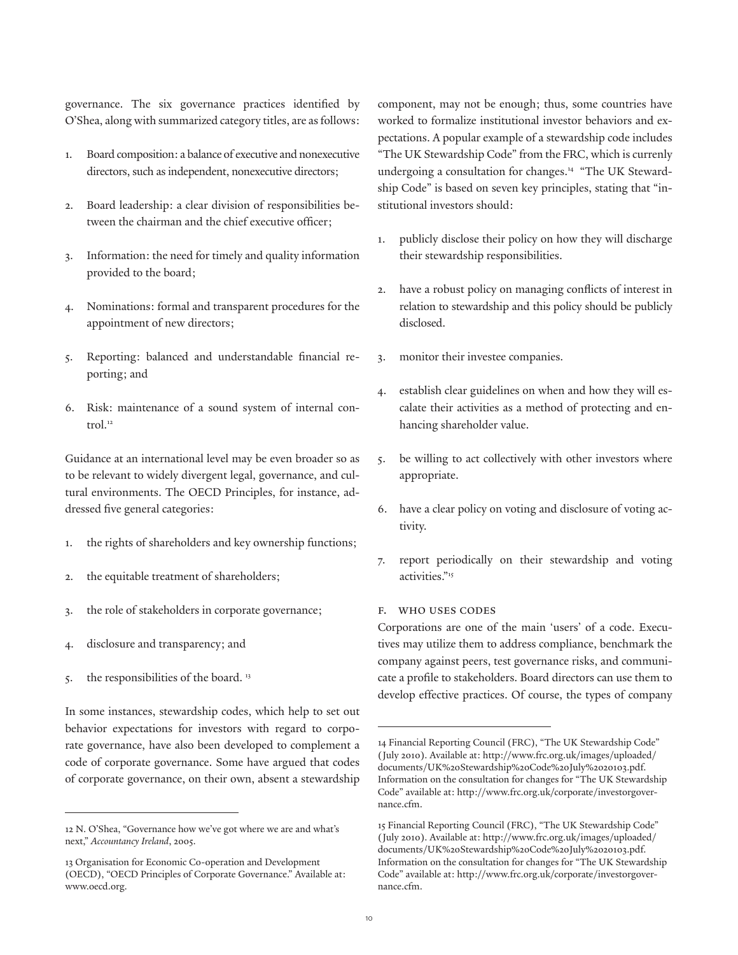governance. The six governance practices identified by O'Shea, along with summarized category titles, are as follows:

- 1. Board composition: a balance of executive and nonexecutive directors, such as independent, nonexecutive directors;
- 2. Board leadership: a clear division of responsibilities between the chairman and the chief executive officer;
- 3. Information: the need for timely and quality information provided to the board;
- 4. Nominations: formal and transparent procedures for the appointment of new directors;
- 5. Reporting: balanced and understandable financial reporting; and
- 6. Risk: maintenance of a sound system of internal control.<sup>12</sup>

Guidance at an international level may be even broader so as to be relevant to widely divergent legal, governance, and cultural environments. The OECD Principles, for instance, addressed five general categories:

- 1. the rights of shareholders and key ownership functions;
- 2. the equitable treatment of shareholders;
- 3. the role of stakeholders in corporate governance;
- 4. disclosure and transparency; and
- 5. the responsibilities of the board. 13

In some instances, stewardship codes, which help to set out behavior expectations for investors with regard to corporate governance, have also been developed to complement a code of corporate governance. Some have argued that codes of corporate governance, on their own, absent a stewardship

component, may not be enough; thus, some countries have worked to formalize institutional investor behaviors and expectations. A popular example of a stewardship code includes "The UK Stewardship Code" from the FRC, which is currenly undergoing a consultation for changes.14 "The UK Stewardship Code" is based on seven key principles, stating that "institutional investors should:

- 1. publicly disclose their policy on how they will discharge their stewardship responsibilities.
- 2. have a robust policy on managing conflicts of interest in relation to stewardship and this policy should be publicly disclosed.
- 3. monitor their investee companies.
- 4. establish clear guidelines on when and how they will escalate their activities as a method of protecting and enhancing shareholder value.
- 5. be willing to act collectively with other investors where appropriate.
- 6. have a clear policy on voting and disclosure of voting activity.
- 7. report periodically on their stewardship and voting activities."15

## f. Who uses codes

Corporations are one of the main 'users' of a code. Executives may utilize them to address compliance, benchmark the company against peers, test governance risks, and communicate a profile to stakeholders. Board directors can use them to develop effective practices. Of course, the types of company

<sup>12</sup> N. O'Shea, "Governance how we've got where we are and what's next," *Accountancy Ireland*, 2005.

<sup>13</sup> Organisation for Economic Co-operation and Development (OECD), "OECD Principles of Corporate Governance." Available at: www.oecd.org.

<sup>14</sup> Financial Reporting Council (FRC), "The UK Stewardship Code" (July 2010). Available at: http://www.frc.org.uk/images/uploaded/ documents/UK%20Stewardship%20Code%20July%2020103.pdf. Information on the consultation for changes for "The UK Stewardship Code" available at: http://www.frc.org.uk/corporate/investorgovernance.cfm.

<sup>15</sup> Financial Reporting Council (FRC), "The UK Stewardship Code" (July 2010). Available at: http://www.frc.org.uk/images/uploaded/ documents/UK%20Stewardship%20Code%20July%2020103.pdf. Information on the consultation for changes for "The UK Stewardship Code" available at: http://www.frc.org.uk/corporate/investorgovernance.cfm.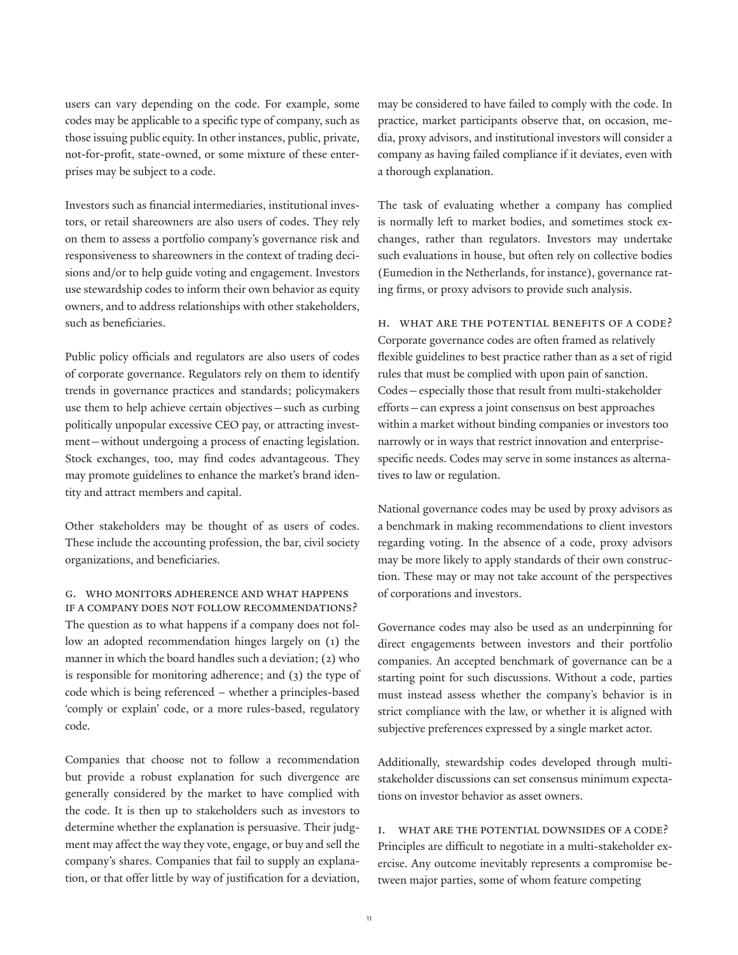users can vary depending on the code. For example, some codes may be applicable to a specific type of company, such as those issuing public equity. In other instances, public, private, not-for-profit, state-owned, or some mixture of these enterprises may be subject to a code.

Investors such as financial intermediaries, institutional investors, or retail shareowners are also users of codes. They rely on them to assess a portfolio company's governance risk and responsiveness to shareowners in the context of trading decisions and/or to help guide voting and engagement. Investors use stewardship codes to inform their own behavior as equity owners, and to address relationships with other stakeholders, such as beneficiaries.

Public policy officials and regulators are also users of codes of corporate governance. Regulators rely on them to identify trends in governance practices and standards; policymakers use them to help achieve certain objectives—such as curbing politically unpopular excessive CEO pay, or attracting investment—without undergoing a process of enacting legislation. Stock exchanges, too, may find codes advantageous. They may promote guidelines to enhance the market's brand identity and attract members and capital.

Other stakeholders may be thought of as users of codes. These include the accounting profession, the bar, civil society organizations, and beneficiaries.

## g. Who monitors adherence and what happens if a company does not follow recommendations?

The question as to what happens if a company does not follow an adopted recommendation hinges largely on (1) the manner in which the board handles such a deviation; (2) who is responsible for monitoring adherence; and (3) the type of code which is being referenced – whether a principles-based 'comply or explain' code, or a more rules-based, regulatory code.

Companies that choose not to follow a recommendation but provide a robust explanation for such divergence are generally considered by the market to have complied with the code. It is then up to stakeholders such as investors to determine whether the explanation is persuasive. Their judgment may affect the way they vote, engage, or buy and sell the company's shares. Companies that fail to supply an explanation, or that offer little by way of justification for a deviation,

may be considered to have failed to comply with the code. In practice, market participants observe that, on occasion, media, proxy advisors, and institutional investors will consider a company as having failed compliance if it deviates, even with a thorough explanation.

The task of evaluating whether a company has complied is normally left to market bodies, and sometimes stock exchanges, rather than regulators. Investors may undertake such evaluations in house, but often rely on collective bodies (Eumedion in the Netherlands, for instance), governance rating firms, or proxy advisors to provide such analysis.

h. What are the potential benefits of a code? Corporate governance codes are often framed as relatively flexible guidelines to best practice rather than as a set of rigid rules that must be complied with upon pain of sanction. Codes—especially those that result from multi-stakeholder efforts—can express a joint consensus on best approaches within a market without binding companies or investors too narrowly or in ways that restrict innovation and enterprisespecific needs. Codes may serve in some instances as alternatives to law or regulation.

National governance codes may be used by proxy advisors as a benchmark in making recommendations to client investors regarding voting. In the absence of a code, proxy advisors may be more likely to apply standards of their own construction. These may or may not take account of the perspectives of corporations and investors.

Governance codes may also be used as an underpinning for direct engagements between investors and their portfolio companies. An accepted benchmark of governance can be a starting point for such discussions. Without a code, parties must instead assess whether the company's behavior is in strict compliance with the law, or whether it is aligned with subjective preferences expressed by a single market actor.

Additionally, stewardship codes developed through multistakeholder discussions can set consensus minimum expectations on investor behavior as asset owners.

i. What are the potential downsides of a code? Principles are difficult to negotiate in a multi-stakeholder exercise. Any outcome inevitably represents a compromise between major parties, some of whom feature competing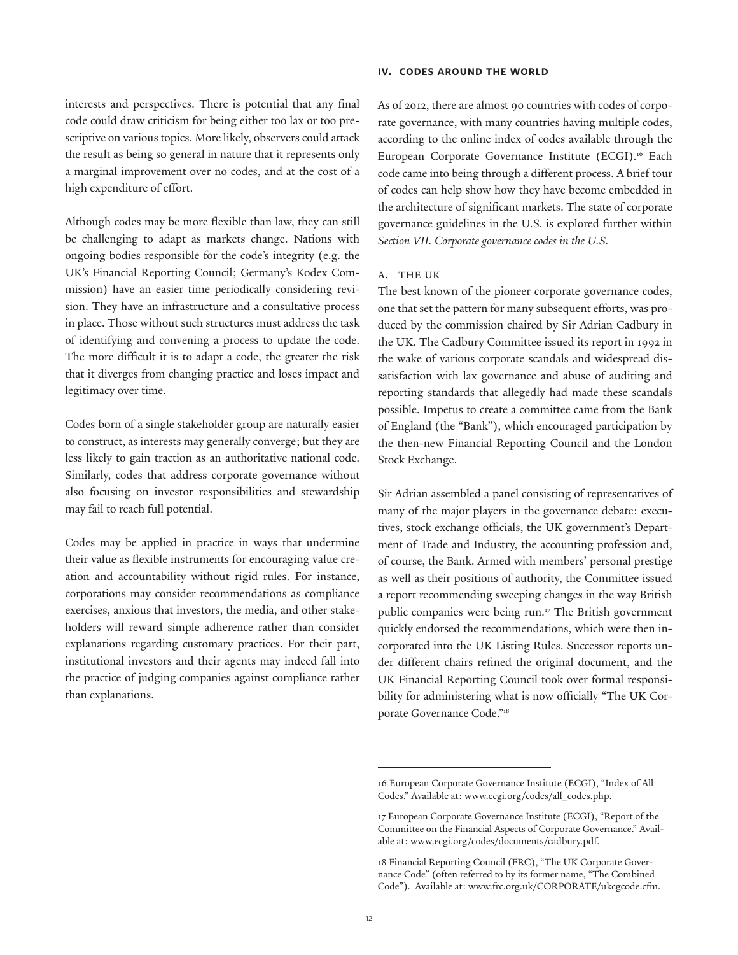interests and perspectives. There is potential that any final code could draw criticism for being either too lax or too prescriptive on various topics. More likely, observers could attack the result as being so general in nature that it represents only a marginal improvement over no codes, and at the cost of a high expenditure of effort.

Although codes may be more flexible than law, they can still be challenging to adapt as markets change. Nations with ongoing bodies responsible for the code's integrity (e.g. the UK's Financial Reporting Council; Germany's Kodex Commission) have an easier time periodically considering revision. They have an infrastructure and a consultative process in place. Those without such structures must address the task of identifying and convening a process to update the code. The more difficult it is to adapt a code, the greater the risk that it diverges from changing practice and loses impact and legitimacy over time.

Codes born of a single stakeholder group are naturally easier to construct, as interests may generally converge; but they are less likely to gain traction as an authoritative national code. Similarly, codes that address corporate governance without also focusing on investor responsibilities and stewardship may fail to reach full potential.

Codes may be applied in practice in ways that undermine their value as flexible instruments for encouraging value creation and accountability without rigid rules. For instance, corporations may consider recommendations as compliance exercises, anxious that investors, the media, and other stakeholders will reward simple adherence rather than consider explanations regarding customary practices. For their part, institutional investors and their agents may indeed fall into the practice of judging companies against compliance rather than explanations.

### **iv. codes around the world**

As of 2012, there are almost 90 countries with codes of corporate governance, with many countries having multiple codes, according to the online index of codes available through the European Corporate Governance Institute (ECGI).<sup>16</sup> Each code came into being through a different process. A brief tour of codes can help show how they have become embedded in the architecture of significant markets. The state of corporate governance guidelines in the U.S. is explored further within *Section VII. Corporate governance codes in the U.S.*

## A. The UK

The best known of the pioneer corporate governance codes, one that set the pattern for many subsequent efforts, was produced by the commission chaired by Sir Adrian Cadbury in the UK. The Cadbury Committee issued its report in 1992 in the wake of various corporate scandals and widespread dissatisfaction with lax governance and abuse of auditing and reporting standards that allegedly had made these scandals possible. Impetus to create a committee came from the Bank of England (the "Bank"), which encouraged participation by the then-new Financial Reporting Council and the London Stock Exchange.

Sir Adrian assembled a panel consisting of representatives of many of the major players in the governance debate: executives, stock exchange officials, the UK government's Department of Trade and Industry, the accounting profession and, of course, the Bank. Armed with members' personal prestige as well as their positions of authority, the Committee issued a report recommending sweeping changes in the way British public companies were being run.17 The British government quickly endorsed the recommendations, which were then incorporated into the UK Listing Rules. Successor reports under different chairs refined the original document, and the UK Financial Reporting Council took over formal responsibility for administering what is now officially "The UK Corporate Governance Code."18

<sup>16</sup> European Corporate Governance Institute (ECGI), "Index of All Codes." Available at: www.ecgi.org/codes/all\_codes.php.

<sup>17</sup> European Corporate Governance Institute (ECGI), "Report of the Committee on the Financial Aspects of Corporate Governance." Available at: www.ecgi.org/codes/documents/cadbury.pdf.

<sup>18</sup> Financial Reporting Council (FRC), "The UK Corporate Governance Code" (often referred to by its former name, "The Combined Code"). Available at: www.frc.org.uk/CORPORATE/ukcgcode.cfm.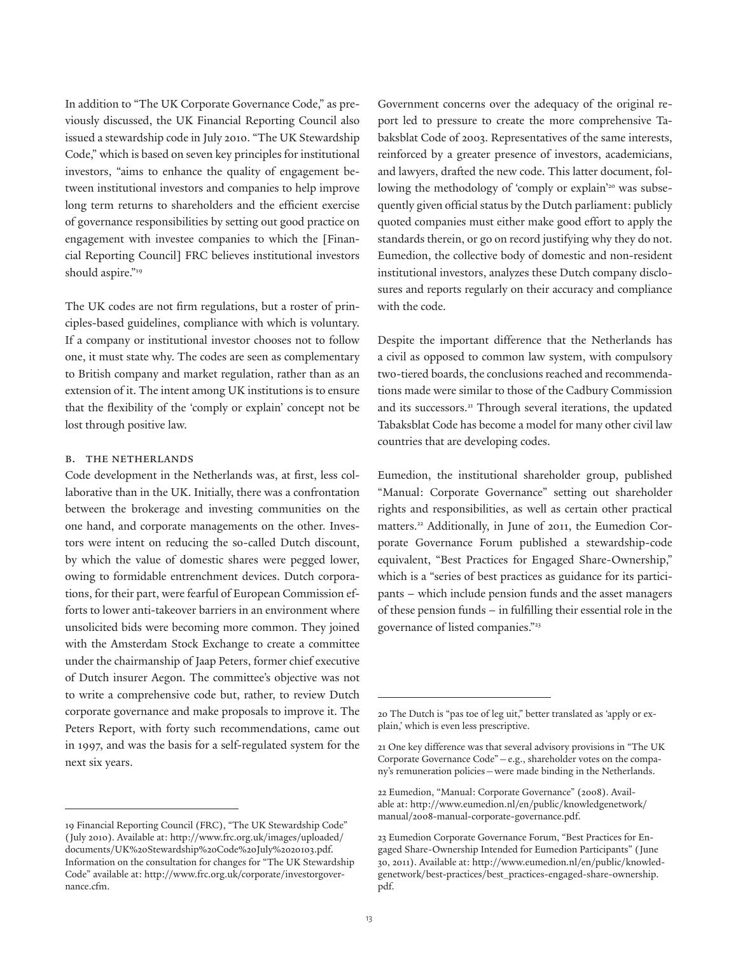In addition to "The UK Corporate Governance Code," as previously discussed, the UK Financial Reporting Council also issued a stewardship code in July 2010. "The UK Stewardship Code," which is based on seven key principles for institutional investors, "aims to enhance the quality of engagement between institutional investors and companies to help improve long term returns to shareholders and the efficient exercise of governance responsibilities by setting out good practice on engagement with investee companies to which the [Financial Reporting Council] FRC believes institutional investors should aspire."<sup>19</sup>

The UK codes are not firm regulations, but a roster of principles-based guidelines, compliance with which is voluntary. If a company or institutional investor chooses not to follow one, it must state why. The codes are seen as complementary to British company and market regulation, rather than as an extension of it. The intent among UK institutions is to ensure that the flexibility of the 'comply or explain' concept not be lost through positive law.

## b. The Netherlands

Code development in the Netherlands was, at first, less collaborative than in the UK. Initially, there was a confrontation between the brokerage and investing communities on the one hand, and corporate managements on the other. Investors were intent on reducing the so-called Dutch discount, by which the value of domestic shares were pegged lower, owing to formidable entrenchment devices. Dutch corporations, for their part, were fearful of European Commission efforts to lower anti-takeover barriers in an environment where unsolicited bids were becoming more common. They joined with the Amsterdam Stock Exchange to create a committee under the chairmanship of Jaap Peters, former chief executive of Dutch insurer Aegon. The committee's objective was not to write a comprehensive code but, rather, to review Dutch corporate governance and make proposals to improve it. The Peters Report, with forty such recommendations, came out in 1997, and was the basis for a self-regulated system for the next six years.

Government concerns over the adequacy of the original report led to pressure to create the more comprehensive Tabaksblat Code of 2003. Representatives of the same interests, reinforced by a greater presence of investors, academicians, and lawyers, drafted the new code. This latter document, following the methodology of 'comply or explain'<sup>20</sup> was subsequently given official status by the Dutch parliament: publicly quoted companies must either make good effort to apply the standards therein, or go on record justifying why they do not. Eumedion, the collective body of domestic and non-resident institutional investors, analyzes these Dutch company disclosures and reports regularly on their accuracy and compliance with the code.

Despite the important difference that the Netherlands has a civil as opposed to common law system, with compulsory two-tiered boards, the conclusions reached and recommendations made were similar to those of the Cadbury Commission and its successors.<sup>21</sup> Through several iterations, the updated Tabaksblat Code has become a model for many other civil law countries that are developing codes.

Eumedion, the institutional shareholder group, published "Manual: Corporate Governance" setting out shareholder rights and responsibilities, as well as certain other practical matters.<sup>22</sup> Additionally, in June of 2011, the Eumedion Corporate Governance Forum published a stewardship-code equivalent, "Best Practices for Engaged Share-Ownership," which is a "series of best practices as guidance for its participants – which include pension funds and the asset managers of these pension funds – in fulfilling their essential role in the governance of listed companies."23

<sup>19</sup> Financial Reporting Council (FRC), "The UK Stewardship Code" (July 2010). Available at: http://www.frc.org.uk/images/uploaded/ documents/UK%20Stewardship%20Code%20July%2020103.pdf. Information on the consultation for changes for "The UK Stewardship Code" available at: http://www.frc.org.uk/corporate/investorgovernance.cfm.

<sup>20</sup> The Dutch is "pas toe of leg uit," better translated as 'apply or explain,' which is even less prescriptive.

<sup>21</sup> One key difference was that several advisory provisions in "The UK Corporate Governance Code"—e.g., shareholder votes on the company's remuneration policies—were made binding in the Netherlands.

<sup>22</sup> Eumedion, "Manual: Corporate Governance" (2008). Available at: http://www.eumedion.nl/en/public/knowledgenetwork/ manual/2008-manual-corporate-governance.pdf.

<sup>23</sup> Eumedion Corporate Governance Forum, "Best Practices for Engaged Share-Ownership Intended for Eumedion Participants" (June 30, 2011). Available at: http://www.eumedion.nl/en/public/knowledgenetwork/best-practices/best\_practices-engaged-share-ownership. pdf.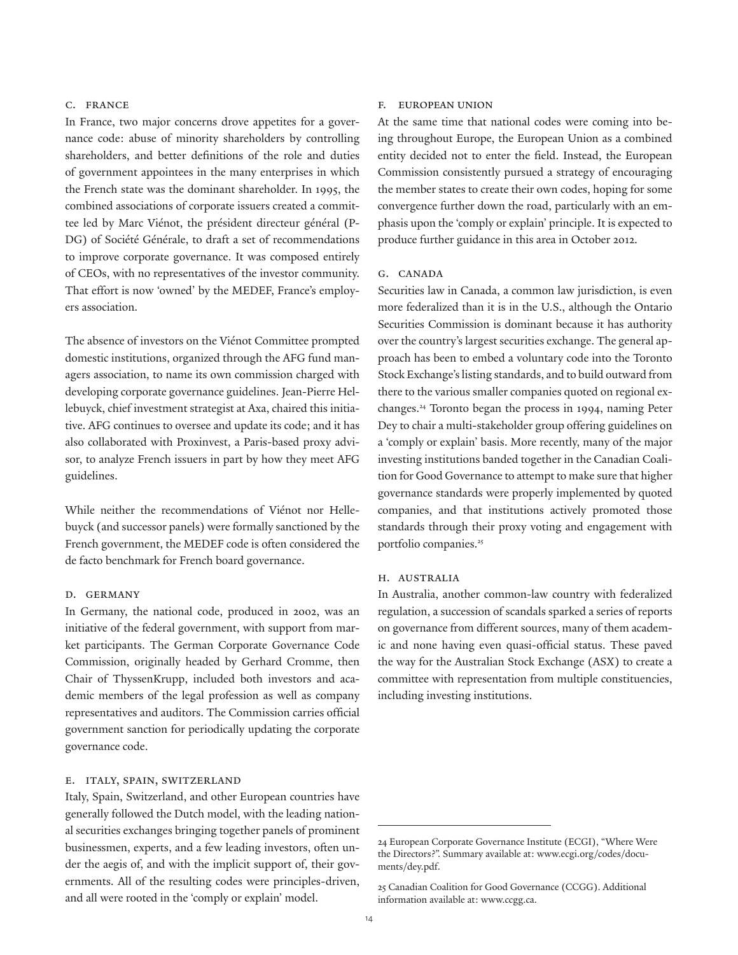## c. France

In France, two major concerns drove appetites for a governance code: abuse of minority shareholders by controlling shareholders, and better definitions of the role and duties of government appointees in the many enterprises in which the French state was the dominant shareholder. In 1995, the combined associations of corporate issuers created a committee led by Marc Viénot, the président directeur général (P-DG) of Société Générale, to draft a set of recommendations to improve corporate governance. It was composed entirely of CEOs, with no representatives of the investor community. That effort is now 'owned' by the MEDEF, France's employers association.

The absence of investors on the Viénot Committee prompted domestic institutions, organized through the AFG fund managers association, to name its own commission charged with developing corporate governance guidelines. Jean-Pierre Hellebuyck, chief investment strategist at Axa, chaired this initiative. AFG continues to oversee and update its code; and it has also collaborated with Proxinvest, a Paris-based proxy advisor, to analyze French issuers in part by how they meet AFG guidelines.

While neither the recommendations of Viénot nor Hellebuyck (and successor panels) were formally sanctioned by the French government, the MEDEF code is often considered the de facto benchmark for French board governance.

#### D. GERMANY

In Germany, the national code, produced in 2002, was an initiative of the federal government, with support from market participants. The German Corporate Governance Code Commission, originally headed by Gerhard Cromme, then Chair of ThyssenKrupp, included both investors and academic members of the legal profession as well as company representatives and auditors. The Commission carries official government sanction for periodically updating the corporate governance code.

## e. Italy, Spain, Switzerland

Italy, Spain, Switzerland, and other European countries have generally followed the Dutch model, with the leading national securities exchanges bringing together panels of prominent businessmen, experts, and a few leading investors, often under the aegis of, and with the implicit support of, their governments. All of the resulting codes were principles-driven, and all were rooted in the 'comply or explain' model.

#### f. European Union

At the same time that national codes were coming into being throughout Europe, the European Union as a combined entity decided not to enter the field. Instead, the European Commission consistently pursued a strategy of encouraging the member states to create their own codes, hoping for some convergence further down the road, particularly with an emphasis upon the 'comply or explain' principle. It is expected to produce further guidance in this area in October 2012.

## g. Canada

Securities law in Canada, a common law jurisdiction, is even more federalized than it is in the U.S., although the Ontario Securities Commission is dominant because it has authority over the country's largest securities exchange. The general approach has been to embed a voluntary code into the Toronto Stock Exchange's listing standards, and to build outward from there to the various smaller companies quoted on regional exchanges.24 Toronto began the process in 1994, naming Peter Dey to chair a multi-stakeholder group offering guidelines on a 'comply or explain' basis. More recently, many of the major investing institutions banded together in the Canadian Coalition for Good Governance to attempt to make sure that higher governance standards were properly implemented by quoted companies, and that institutions actively promoted those standards through their proxy voting and engagement with portfolio companies.<sup>25</sup>

## h. Australia

In Australia, another common-law country with federalized regulation, a succession of scandals sparked a series of reports on governance from different sources, many of them academic and none having even quasi-official status. These paved the way for the Australian Stock Exchange (ASX) to create a committee with representation from multiple constituencies, including investing institutions.

<sup>24</sup> European Corporate Governance Institute (ECGI), "Where Were the Directors?". Summary available at: www.ecgi.org/codes/documents/dey.pdf.

<sup>25</sup> Canadian Coalition for Good Governance (CCGG). Additional information available at: www.ccgg.ca.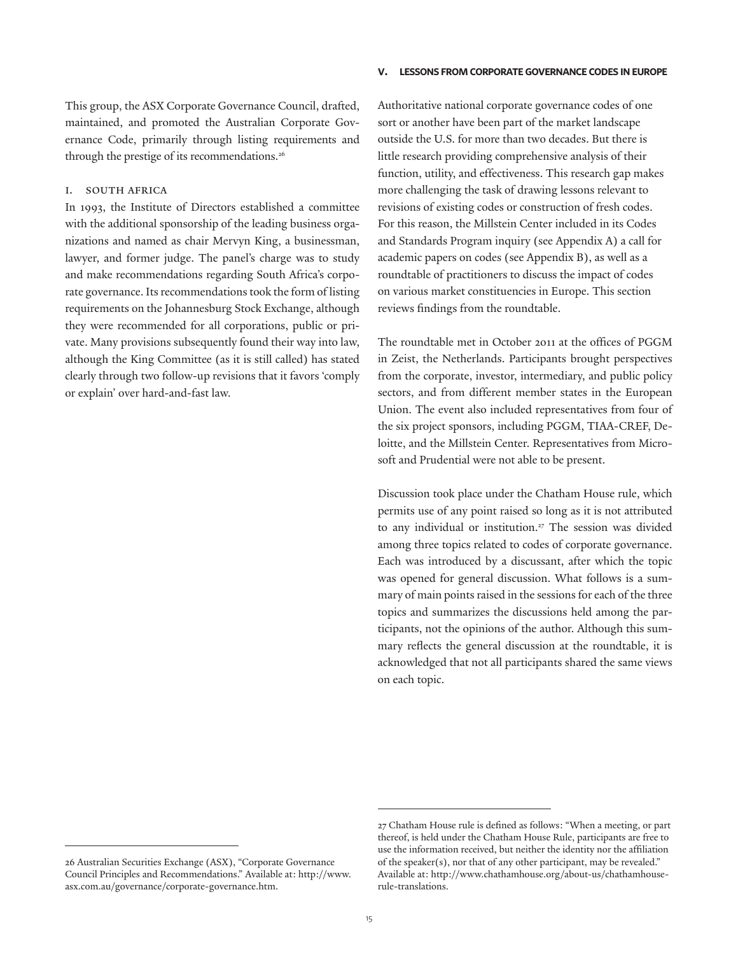#### **v. lessons from corporate governance codes in europe**

This group, the ASX Corporate Governance Council, drafted, maintained, and promoted the Australian Corporate Governance Code, primarily through listing requirements and through the prestige of its recommendations.<sup>26</sup>

#### i. South Africa

In 1993, the Institute of Directors established a committee with the additional sponsorship of the leading business organizations and named as chair Mervyn King, a businessman, lawyer, and former judge. The panel's charge was to study and make recommendations regarding South Africa's corporate governance. Its recommendations took the form of listing requirements on the Johannesburg Stock Exchange, although they were recommended for all corporations, public or private. Many provisions subsequently found their way into law, although the King Committee (as it is still called) has stated clearly through two follow-up revisions that it favors 'comply or explain' over hard-and-fast law.

Authoritative national corporate governance codes of one sort or another have been part of the market landscape outside the U.S. for more than two decades. But there is little research providing comprehensive analysis of their function, utility, and effectiveness. This research gap makes more challenging the task of drawing lessons relevant to revisions of existing codes or construction of fresh codes. For this reason, the Millstein Center included in its Codes and Standards Program inquiry (see Appendix A) a call for academic papers on codes (see Appendix B), as well as a roundtable of practitioners to discuss the impact of codes on various market constituencies in Europe. This section reviews findings from the roundtable.

The roundtable met in October 2011 at the offices of PGGM in Zeist, the Netherlands. Participants brought perspectives from the corporate, investor, intermediary, and public policy sectors, and from different member states in the European Union. The event also included representatives from four of the six project sponsors, including PGGM, TIAA-CREF, Deloitte, and the Millstein Center. Representatives from Microsoft and Prudential were not able to be present.

Discussion took place under the Chatham House rule, which permits use of any point raised so long as it is not attributed to any individual or institution.<sup>27</sup> The session was divided among three topics related to codes of corporate governance. Each was introduced by a discussant, after which the topic was opened for general discussion. What follows is a summary of main points raised in the sessions for each of the three topics and summarizes the discussions held among the participants, not the opinions of the author. Although this summary reflects the general discussion at the roundtable, it is acknowledged that not all participants shared the same views on each topic.

<sup>26</sup> Australian Securities Exchange (ASX), "Corporate Governance Council Principles and Recommendations." Available at: http://www. asx.com.au/governance/corporate-governance.htm.

<sup>27</sup> Chatham House rule is defined as follows: "When a meeting, or part thereof, is held under the Chatham House Rule, participants are free to use the information received, but neither the identity nor the affiliation of the speaker(s), nor that of any other participant, may be revealed." Available at: http://www.chathamhouse.org/about-us/chathamhouserule-translations.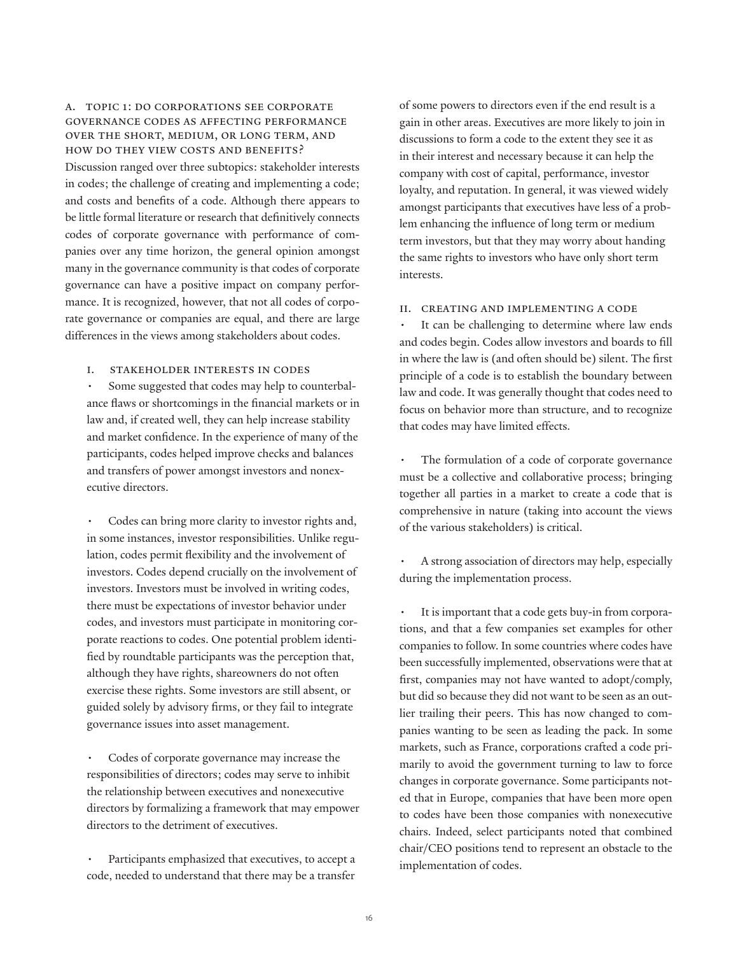# a. Topic 1: Do corporations see corporate governance codes as affecting performance over the short, medium, or long term, and how do they view costs and benefits?

Discussion ranged over three subtopics: stakeholder interests in codes; the challenge of creating and implementing a code; and costs and benefits of a code. Although there appears to be little formal literature or research that definitively connects codes of corporate governance with performance of companies over any time horizon, the general opinion amongst many in the governance community is that codes of corporate governance can have a positive impact on company performance. It is recognized, however, that not all codes of corporate governance or companies are equal, and there are large differences in the views among stakeholders about codes.

## i. Stakeholder interests in codes

Some suggested that codes may help to counterbalance flaws or shortcomings in the financial markets or in law and, if created well, they can help increase stability and market confidence. In the experience of many of the participants, codes helped improve checks and balances and transfers of power amongst investors and nonexecutive directors.

Codes can bring more clarity to investor rights and, in some instances, investor responsibilities. Unlike regulation, codes permit flexibility and the involvement of investors. Codes depend crucially on the involvement of investors. Investors must be involved in writing codes, there must be expectations of investor behavior under codes, and investors must participate in monitoring corporate reactions to codes. One potential problem identified by roundtable participants was the perception that, although they have rights, shareowners do not often exercise these rights. Some investors are still absent, or guided solely by advisory firms, or they fail to integrate governance issues into asset management.

Codes of corporate governance may increase the responsibilities of directors; codes may serve to inhibit the relationship between executives and nonexecutive directors by formalizing a framework that may empower directors to the detriment of executives.

Participants emphasized that executives, to accept a code, needed to understand that there may be a transfer

of some powers to directors even if the end result is a gain in other areas. Executives are more likely to join in discussions to form a code to the extent they see it as in their interest and necessary because it can help the company with cost of capital, performance, investor loyalty, and reputation. In general, it was viewed widely amongst participants that executives have less of a problem enhancing the influence of long term or medium term investors, but that they may worry about handing the same rights to investors who have only short term interests.

### ii. Creating and implementing a code

It can be challenging to determine where law ends and codes begin. Codes allow investors and boards to fill in where the law is (and often should be) silent. The first principle of a code is to establish the boundary between law and code. It was generally thought that codes need to focus on behavior more than structure, and to recognize that codes may have limited effects.

The formulation of a code of corporate governance must be a collective and collaborative process; bringing together all parties in a market to create a code that is comprehensive in nature (taking into account the views of the various stakeholders) is critical.

A strong association of directors may help, especially during the implementation process.

It is important that a code gets buy-in from corporations, and that a few companies set examples for other companies to follow. In some countries where codes have been successfully implemented, observations were that at first, companies may not have wanted to adopt/comply, but did so because they did not want to be seen as an outlier trailing their peers. This has now changed to companies wanting to be seen as leading the pack. In some markets, such as France, corporations crafted a code primarily to avoid the government turning to law to force changes in corporate governance. Some participants noted that in Europe, companies that have been more open to codes have been those companies with nonexecutive chairs. Indeed, select participants noted that combined chair/CEO positions tend to represent an obstacle to the implementation of codes.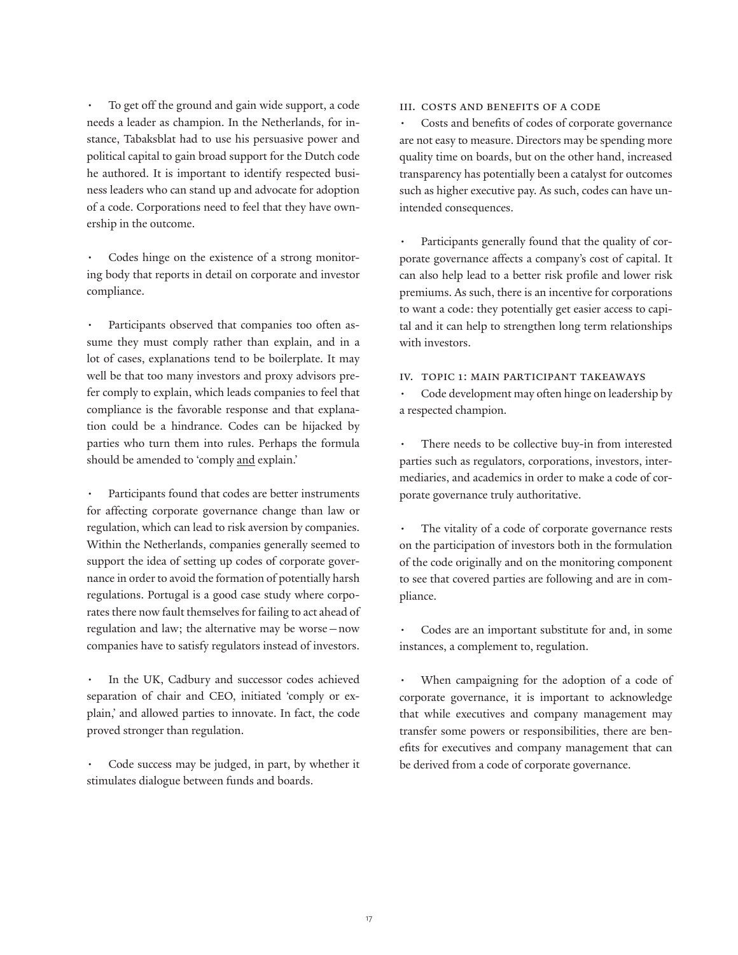To get off the ground and gain wide support, a code needs a leader as champion. In the Netherlands, for instance, Tabaksblat had to use his persuasive power and political capital to gain broad support for the Dutch code he authored. It is important to identify respected business leaders who can stand up and advocate for adoption of a code. Corporations need to feel that they have ownership in the outcome.

Codes hinge on the existence of a strong monitoring body that reports in detail on corporate and investor compliance.

Participants observed that companies too often assume they must comply rather than explain, and in a lot of cases, explanations tend to be boilerplate. It may well be that too many investors and proxy advisors prefer comply to explain, which leads companies to feel that compliance is the favorable response and that explanation could be a hindrance. Codes can be hijacked by parties who turn them into rules. Perhaps the formula should be amended to 'comply and explain.'

Participants found that codes are better instruments for affecting corporate governance change than law or regulation, which can lead to risk aversion by companies. Within the Netherlands, companies generally seemed to support the idea of setting up codes of corporate governance in order to avoid the formation of potentially harsh regulations. Portugal is a good case study where corporates there now fault themselves for failing to act ahead of regulation and law; the alternative may be worse—now companies have to satisfy regulators instead of investors.

In the UK, Cadbury and successor codes achieved separation of chair and CEO, initiated 'comply or explain,' and allowed parties to innovate. In fact, the code proved stronger than regulation.

Code success may be judged, in part, by whether it stimulates dialogue between funds and boards.

## iii. Costs and benefits of a code

• Costs and benefits of codes of corporate governance are not easy to measure. Directors may be spending more quality time on boards, but on the other hand, increased transparency has potentially been a catalyst for outcomes such as higher executive pay. As such, codes can have unintended consequences.

Participants generally found that the quality of corporate governance affects a company's cost of capital. It can also help lead to a better risk profile and lower risk premiums. As such, there is an incentive for corporations to want a code: they potentially get easier access to capital and it can help to strengthen long term relationships with investors.

## iv. Topic 1: Main participant takeaways

Code development may often hinge on leadership by a respected champion.

There needs to be collective buy-in from interested parties such as regulators, corporations, investors, intermediaries, and academics in order to make a code of corporate governance truly authoritative.

The vitality of a code of corporate governance rests on the participation of investors both in the formulation of the code originally and on the monitoring component to see that covered parties are following and are in compliance.

Codes are an important substitute for and, in some instances, a complement to, regulation.

When campaigning for the adoption of a code of corporate governance, it is important to acknowledge that while executives and company management may transfer some powers or responsibilities, there are benefits for executives and company management that can be derived from a code of corporate governance.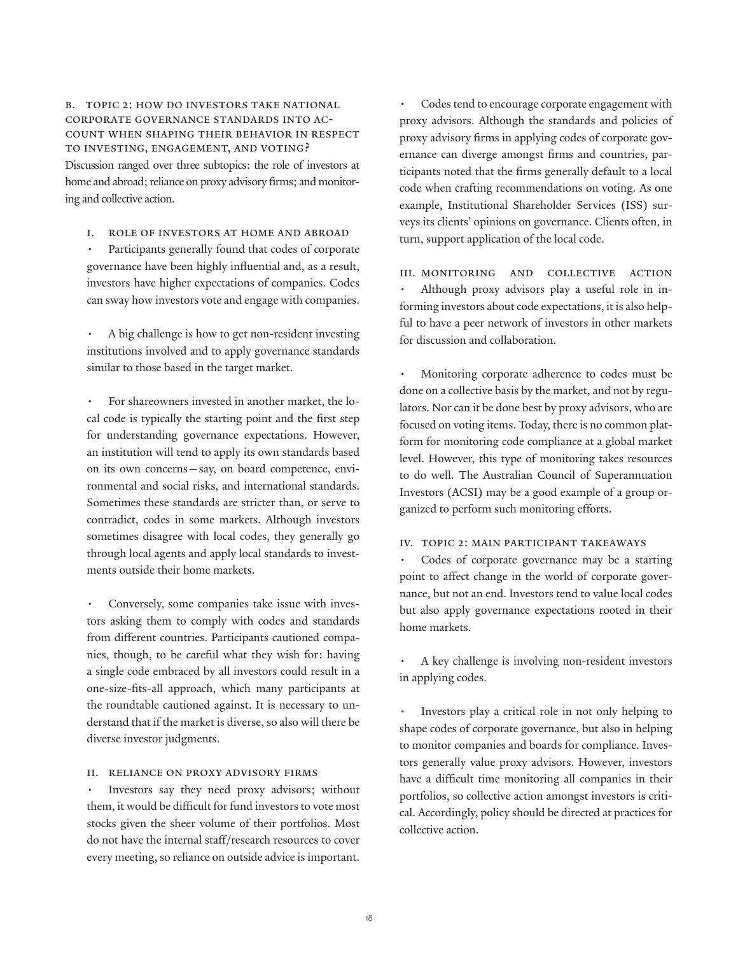b. Topic 2: How do investors take national corporate governance standards into account when shaping their behavior in respect to investing, engagement, and voting? Discussion ranged over three subtopics: the role of investors at home and abroad; reliance on proxy advisory firms; and monitoring and collective action.

i. Role of investors at home and abroad

Participants generally found that codes of corporate governance have been highly influential and, as a result, investors have higher expectations of companies. Codes can sway how investors vote and engage with companies.

A big challenge is how to get non-resident investing institutions involved and to apply governance standards similar to those based in the target market.

For shareowners invested in another market, the local code is typically the starting point and the first step for understanding governance expectations. However, an institution will tend to apply its own standards based on its own concerns—say, on board competence, environmental and social risks, and international standards. Sometimes these standards are stricter than, or serve to contradict, codes in some markets. Although investors sometimes disagree with local codes, they generally go through local agents and apply local standards to investments outside their home markets.

Conversely, some companies take issue with investors asking them to comply with codes and standards from different countries. Participants cautioned companies, though, to be careful what they wish for: having a single code embraced by all investors could result in a one-size-fits-all approach, which many participants at the roundtable cautioned against. It is necessary to understand that if the market is diverse, so also will there be diverse investor judgments.

## ii. Reliance on proxy advisory firms

Investors say they need proxy advisors; without them, it would be difficult for fund investors to vote most stocks given the sheer volume of their portfolios. Most do not have the internal staff/research resources to cover every meeting, so reliance on outside advice is important.

Codes tend to encourage corporate engagement with proxy advisors. Although the standards and policies of proxy advisory firms in applying codes of corporate governance can diverge amongst firms and countries, participants noted that the firms generally default to a local code when crafting recommendations on voting. As one example, Institutional Shareholder Services (ISS) surveys its clients' opinions on governance. Clients often, in turn, support application of the local code.

III. MONITORING AND COLLECTIVE ACTION Although proxy advisors play a useful role in informing investors about code expectations, it is also helpful to have a peer network of investors in other markets for discussion and collaboration.

Monitoring corporate adherence to codes must be done on a collective basis by the market, and not by regulators. Nor can it be done best by proxy advisors, who are focused on voting items. Today, there is no common platform for monitoring code compliance at a global market level. However, this type of monitoring takes resources to do well. The Australian Council of Superannuation Investors (ACSI) may be a good example of a group organized to perform such monitoring efforts.

## iv. Topic 2: Main participant takeaways

Codes of corporate governance may be a starting point to affect change in the world of corporate governance, but not an end. Investors tend to value local codes but also apply governance expectations rooted in their home markets.

A key challenge is involving non-resident investors in applying codes.

Investors play a critical role in not only helping to shape codes of corporate governance, but also in helping to monitor companies and boards for compliance. Investors generally value proxy advisors. However, investors have a difficult time monitoring all companies in their portfolios, so collective action amongst investors is critical. Accordingly, policy should be directed at practices for collective action.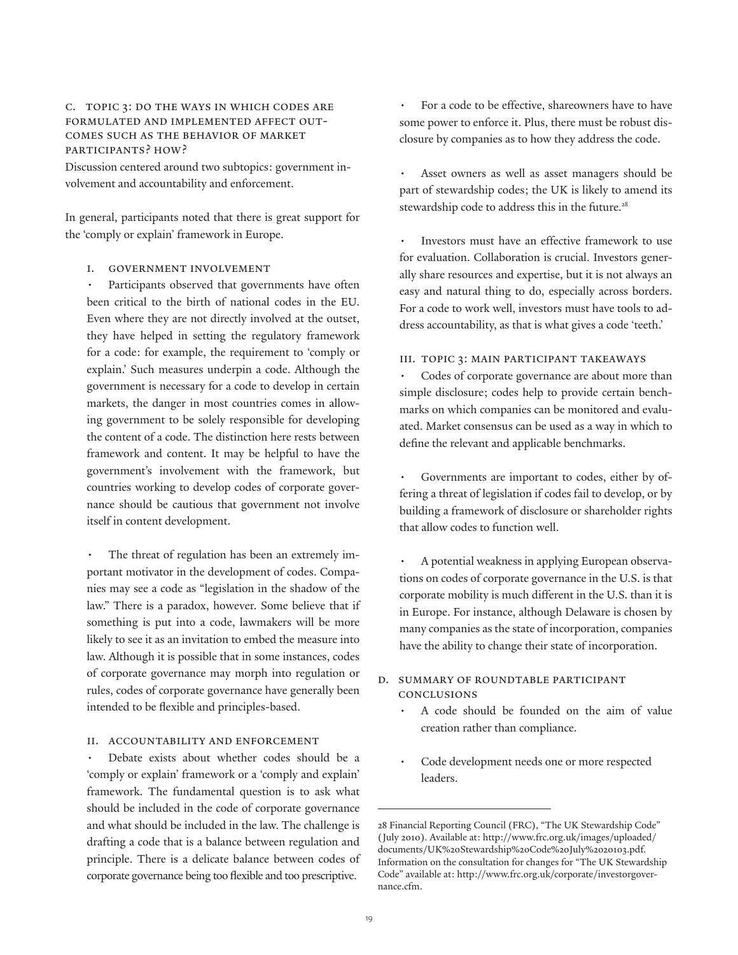# c. Topic 3: Do the ways in which codes are formulated and implemented affect outcomes such as the behavior of market participants? How?

Discussion centered around two subtopics: government involvement and accountability and enforcement.

In general, participants noted that there is great support for the 'comply or explain' framework in Europe.

## i. Government involvement

Participants observed that governments have often been critical to the birth of national codes in the EU. Even where they are not directly involved at the outset, they have helped in setting the regulatory framework for a code: for example, the requirement to 'comply or explain.' Such measures underpin a code. Although the government is necessary for a code to develop in certain markets, the danger in most countries comes in allowing government to be solely responsible for developing the content of a code. The distinction here rests between framework and content. It may be helpful to have the government's involvement with the framework, but countries working to develop codes of corporate governance should be cautious that government not involve itself in content development.

The threat of regulation has been an extremely important motivator in the development of codes. Companies may see a code as "legislation in the shadow of the law." There is a paradox, however. Some believe that if something is put into a code, lawmakers will be more likely to see it as an invitation to embed the measure into law. Although it is possible that in some instances, codes of corporate governance may morph into regulation or rules, codes of corporate governance have generally been intended to be flexible and principles-based.

## ii. Accountability and enforcement

Debate exists about whether codes should be a 'comply or explain' framework or a 'comply and explain' framework. The fundamental question is to ask what should be included in the code of corporate governance and what should be included in the law. The challenge is drafting a code that is a balance between regulation and principle. There is a delicate balance between codes of corporate governance being too flexible and too prescriptive.

For a code to be effective, shareowners have to have some power to enforce it. Plus, there must be robust disclosure by companies as to how they address the code.

Asset owners as well as asset managers should be part of stewardship codes; the UK is likely to amend its stewardship code to address this in the future.<sup>28</sup>

Investors must have an effective framework to use for evaluation. Collaboration is crucial. Investors generally share resources and expertise, but it is not always an easy and natural thing to do, especially across borders. For a code to work well, investors must have tools to address accountability, as that is what gives a code 'teeth.'

## iii. Topic 3: Main participant takeaways

Codes of corporate governance are about more than simple disclosure; codes help to provide certain benchmarks on which companies can be monitored and evaluated. Market consensus can be used as a way in which to define the relevant and applicable benchmarks.

Governments are important to codes, either by offering a threat of legislation if codes fail to develop, or by building a framework of disclosure or shareholder rights that allow codes to function well.

A potential weakness in applying European observations on codes of corporate governance in the U.S. is that corporate mobility is much different in the U.S. than it is in Europe. For instance, although Delaware is chosen by many companies as the state of incorporation, companies have the ability to change their state of incorporation.

# d. Summary of roundtable participant conclusions

- A code should be founded on the aim of value creation rather than compliance.
- Code development needs one or more respected leaders.

<sup>28</sup> Financial Reporting Council (FRC), "The UK Stewardship Code" (July 2010). Available at: http://www.frc.org.uk/images/uploaded/ documents/UK%20Stewardship%20Code%20July%2020103.pdf. Information on the consultation for changes for "The UK Stewardship Code" available at: http://www.frc.org.uk/corporate/investorgovernance.cfm.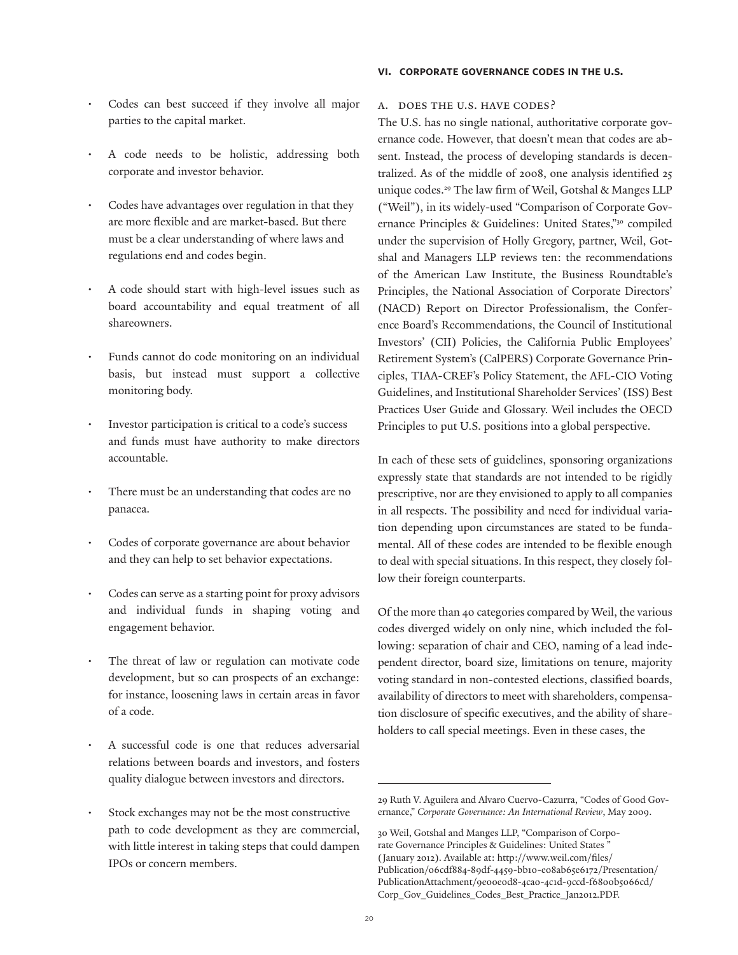- Codes can best succeed if they involve all major parties to the capital market.
- A code needs to be holistic, addressing both corporate and investor behavior.
- Codes have advantages over regulation in that they are more flexible and are market-based. But there must be a clear understanding of where laws and regulations end and codes begin.
- A code should start with high-level issues such as board accountability and equal treatment of all shareowners.
- Funds cannot do code monitoring on an individual basis, but instead must support a collective monitoring body.
- Investor participation is critical to a code's success and funds must have authority to make directors accountable.
- There must be an understanding that codes are no panacea.
- Codes of corporate governance are about behavior and they can help to set behavior expectations.
- Codes can serve as a starting point for proxy advisors and individual funds in shaping voting and engagement behavior.
- The threat of law or regulation can motivate code development, but so can prospects of an exchange: for instance, loosening laws in certain areas in favor of a code.
- A successful code is one that reduces adversarial relations between boards and investors, and fosters quality dialogue between investors and directors.
- Stock exchanges may not be the most constructive path to code development as they are commercial, with little interest in taking steps that could dampen IPOs or concern members.

#### **vi. corporate governance codes in the u.s.**

#### a. Does the U.S. have codes?

The U.S. has no single national, authoritative corporate governance code. However, that doesn't mean that codes are absent. Instead, the process of developing standards is decentralized. As of the middle of 2008, one analysis identified 25 unique codes.29 The law firm of Weil, Gotshal & Manges LLP ("Weil"), in its widely-used "Comparison of Corporate Governance Principles & Guidelines: United States,"30 compiled under the supervision of Holly Gregory, partner, Weil, Gotshal and Managers LLP reviews ten: the recommendations of the American Law Institute, the Business Roundtable's Principles, the National Association of Corporate Directors' (NACD) Report on Director Professionalism, the Conference Board's Recommendations, the Council of Institutional Investors' (CII) Policies, the California Public Employees' Retirement System's (CalPERS) Corporate Governance Principles, TIAA-CREF's Policy Statement, the AFL-CIO Voting Guidelines, and Institutional Shareholder Services' (ISS) Best Practices User Guide and Glossary. Weil includes the OECD Principles to put U.S. positions into a global perspective.

In each of these sets of guidelines, sponsoring organizations expressly state that standards are not intended to be rigidly prescriptive, nor are they envisioned to apply to all companies in all respects. The possibility and need for individual variation depending upon circumstances are stated to be fundamental. All of these codes are intended to be flexible enough to deal with special situations. In this respect, they closely follow their foreign counterparts.

Of the more than 40 categories compared by Weil, the various codes diverged widely on only nine, which included the following: separation of chair and CEO, naming of a lead independent director, board size, limitations on tenure, majority voting standard in non-contested elections, classified boards, availability of directors to meet with shareholders, compensation disclosure of specific executives, and the ability of shareholders to call special meetings. Even in these cases, the

<sup>29</sup> Ruth V. Aguilera and Alvaro Cuervo-Cazurra, "Codes of Good Governance," *Corporate Governance: An International Review*, May 2009.

<sup>30</sup> Weil, Gotshal and Manges LLP, "Comparison of Corporate Governance Principles & Guidelines: United States " (January 2012). Available at: http://www.weil.com/files/ Publication/06cdf884-89df-4459-bb10-e08ab65e6172/Presentation/ PublicationAttachment/9e00e0d8-4ca0-4c1d-9ccd-f6800b5066cd/ Corp\_Gov\_Guidelines\_Codes\_Best\_Practice\_Jan2012.PDF.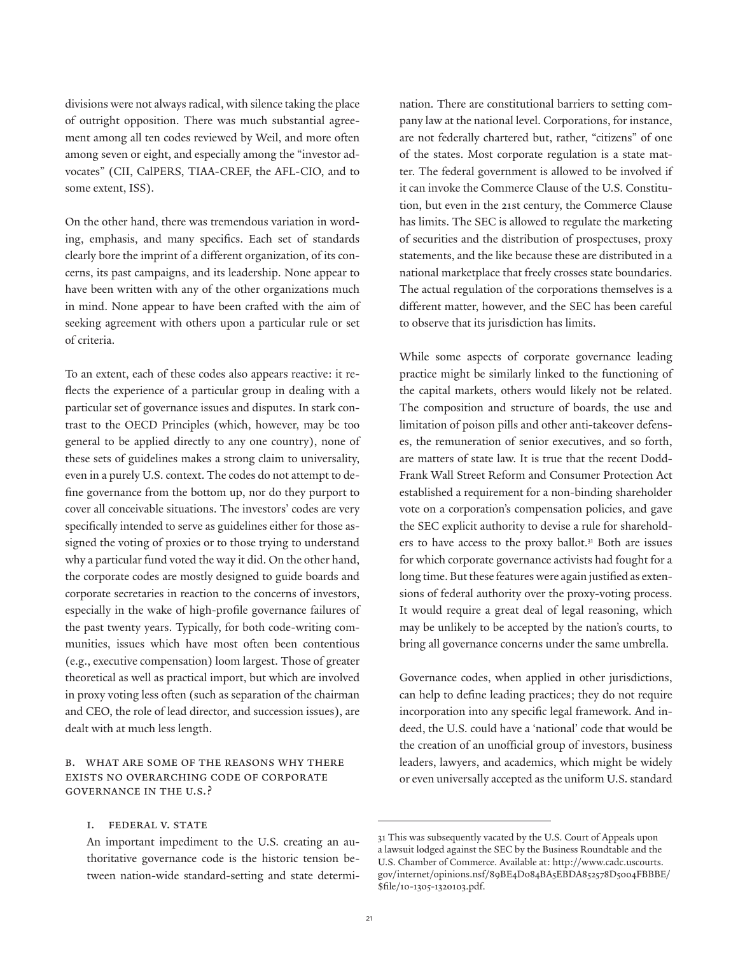divisions were not always radical, with silence taking the place of outright opposition. There was much substantial agreement among all ten codes reviewed by Weil, and more often among seven or eight, and especially among the "investor advocates" (CII, CalPERS, TIAA-CREF, the AFL-CIO, and to some extent, ISS).

On the other hand, there was tremendous variation in wording, emphasis, and many specifics. Each set of standards clearly bore the imprint of a different organization, of its concerns, its past campaigns, and its leadership. None appear to have been written with any of the other organizations much in mind. None appear to have been crafted with the aim of seeking agreement with others upon a particular rule or set of criteria.

To an extent, each of these codes also appears reactive: it reflects the experience of a particular group in dealing with a particular set of governance issues and disputes. In stark contrast to the OECD Principles (which, however, may be too general to be applied directly to any one country), none of these sets of guidelines makes a strong claim to universality, even in a purely U.S. context. The codes do not attempt to define governance from the bottom up, nor do they purport to cover all conceivable situations. The investors' codes are very specifically intended to serve as guidelines either for those assigned the voting of proxies or to those trying to understand why a particular fund voted the way it did. On the other hand, the corporate codes are mostly designed to guide boards and corporate secretaries in reaction to the concerns of investors, especially in the wake of high-profile governance failures of the past twenty years. Typically, for both code-writing communities, issues which have most often been contentious (e.g., executive compensation) loom largest. Those of greater theoretical as well as practical import, but which are involved in proxy voting less often (such as separation of the chairman and CEO, the role of lead director, and succession issues), are dealt with at much less length.

# b. What are some of the reasons why there exists no overarching code of corporate governance in the U.S.?

## I. FEDERAL V. STATE

An important impediment to the U.S. creating an authoritative governance code is the historic tension between nation-wide standard-setting and state determi-

nation. There are constitutional barriers to setting company law at the national level. Corporations, for instance, are not federally chartered but, rather, "citizens" of one of the states. Most corporate regulation is a state matter. The federal government is allowed to be involved if it can invoke the Commerce Clause of the U.S. Constitution, but even in the 21st century, the Commerce Clause has limits. The SEC is allowed to regulate the marketing of securities and the distribution of prospectuses, proxy statements, and the like because these are distributed in a national marketplace that freely crosses state boundaries. The actual regulation of the corporations themselves is a different matter, however, and the SEC has been careful to observe that its jurisdiction has limits.

While some aspects of corporate governance leading practice might be similarly linked to the functioning of the capital markets, others would likely not be related. The composition and structure of boards, the use and limitation of poison pills and other anti-takeover defenses, the remuneration of senior executives, and so forth, are matters of state law. It is true that the recent Dodd-Frank Wall Street Reform and Consumer Protection Act established a requirement for a non-binding shareholder vote on a corporation's compensation policies, and gave the SEC explicit authority to devise a rule for shareholders to have access to the proxy ballot.<sup>31</sup> Both are issues for which corporate governance activists had fought for a long time. But these features were again justified as extensions of federal authority over the proxy-voting process. It would require a great deal of legal reasoning, which may be unlikely to be accepted by the nation's courts, to bring all governance concerns under the same umbrella.

Governance codes, when applied in other jurisdictions, can help to define leading practices; they do not require incorporation into any specific legal framework. And indeed, the U.S. could have a 'national' code that would be the creation of an unofficial group of investors, business leaders, lawyers, and academics, which might be widely or even universally accepted as the uniform U.S. standard

<sup>31</sup> This was subsequently vacated by the U.S. Court of Appeals upon a lawsuit lodged against the SEC by the Business Roundtable and the U.S. Chamber of Commerce. Available at: http://www.cadc.uscourts. gov/internet/opinions.nsf/89BE4D084BA5EBDA852578D5004FBBBE/ \$file/10-1305-1320103.pdf.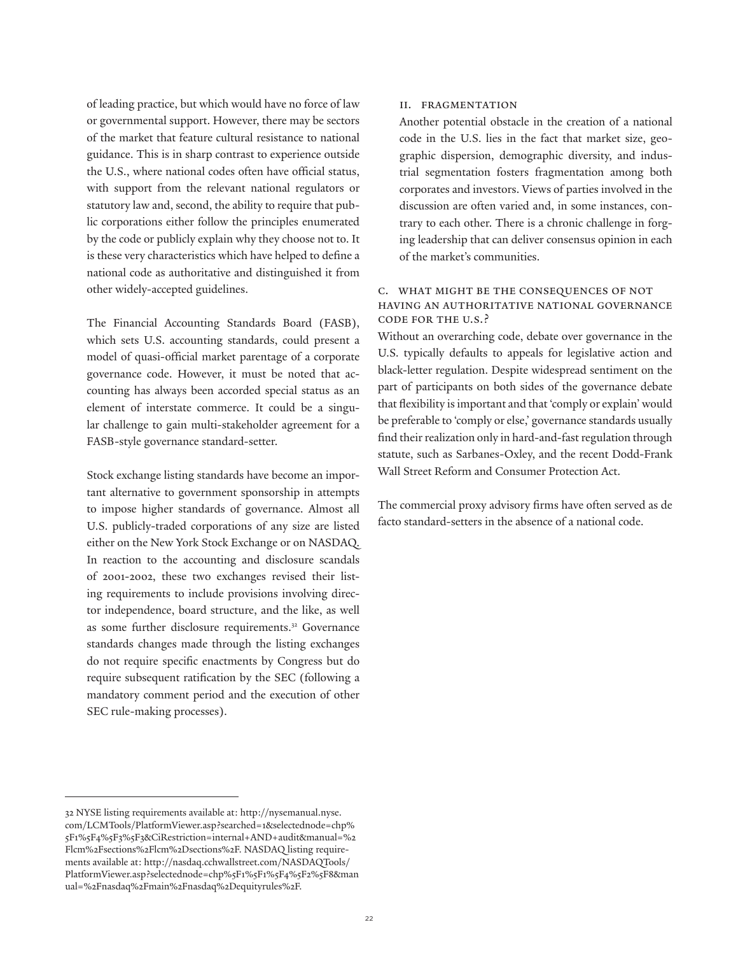of leading practice, but which would have no force of law or governmental support. However, there may be sectors of the market that feature cultural resistance to national guidance. This is in sharp contrast to experience outside the U.S., where national codes often have official status, with support from the relevant national regulators or statutory law and, second, the ability to require that public corporations either follow the principles enumerated by the code or publicly explain why they choose not to. It is these very characteristics which have helped to define a national code as authoritative and distinguished it from other widely-accepted guidelines.

The Financial Accounting Standards Board (FASB), which sets U.S. accounting standards, could present a model of quasi-official market parentage of a corporate governance code. However, it must be noted that accounting has always been accorded special status as an element of interstate commerce. It could be a singular challenge to gain multi-stakeholder agreement for a FASB-style governance standard-setter.

Stock exchange listing standards have become an important alternative to government sponsorship in attempts to impose higher standards of governance. Almost all U.S. publicly-traded corporations of any size are listed either on the New York Stock Exchange or on NASDAQ. In reaction to the accounting and disclosure scandals of 2001-2002, these two exchanges revised their listing requirements to include provisions involving director independence, board structure, and the like, as well as some further disclosure requirements.<sup>32</sup> Governance standards changes made through the listing exchanges do not require specific enactments by Congress but do require subsequent ratification by the SEC (following a mandatory comment period and the execution of other SEC rule-making processes).

## ii. Fragmentation

Another potential obstacle in the creation of a national code in the U.S. lies in the fact that market size, geographic dispersion, demographic diversity, and industrial segmentation fosters fragmentation among both corporates and investors. Views of parties involved in the discussion are often varied and, in some instances, contrary to each other. There is a chronic challenge in forging leadership that can deliver consensus opinion in each of the market's communities.

# c. What might be the consequences of not having an authoritative national governance code for the U.S.?

Without an overarching code, debate over governance in the U.S. typically defaults to appeals for legislative action and black-letter regulation. Despite widespread sentiment on the part of participants on both sides of the governance debate that flexibility is important and that 'comply or explain' would be preferable to 'comply or else,' governance standards usually find their realization only in hard-and-fast regulation through statute, such as Sarbanes-Oxley, and the recent Dodd-Frank Wall Street Reform and Consumer Protection Act.

The commercial proxy advisory firms have often served as de facto standard-setters in the absence of a national code.

<sup>32</sup> NYSE listing requirements available at: http://nysemanual.nyse. com/LCMTools/PlatformViewer.asp?searched=1&selectednode=chp% 5F1%5F4%5F3%5F3&CiRestriction=internal+AND+audit&manual=%2 Flcm%2Fsections%2Flcm%2Dsections%2F. NASDAQ listing requirements available at: http://nasdaq.cchwallstreet.com/NASDAQTools/ PlatformViewer.asp?selectednode=chp%5F1%5F1%5F4%5F2%5F8&man ual=%2Fnasdaq%2Fmain%2Fnasdaq%2Dequityrules%2F.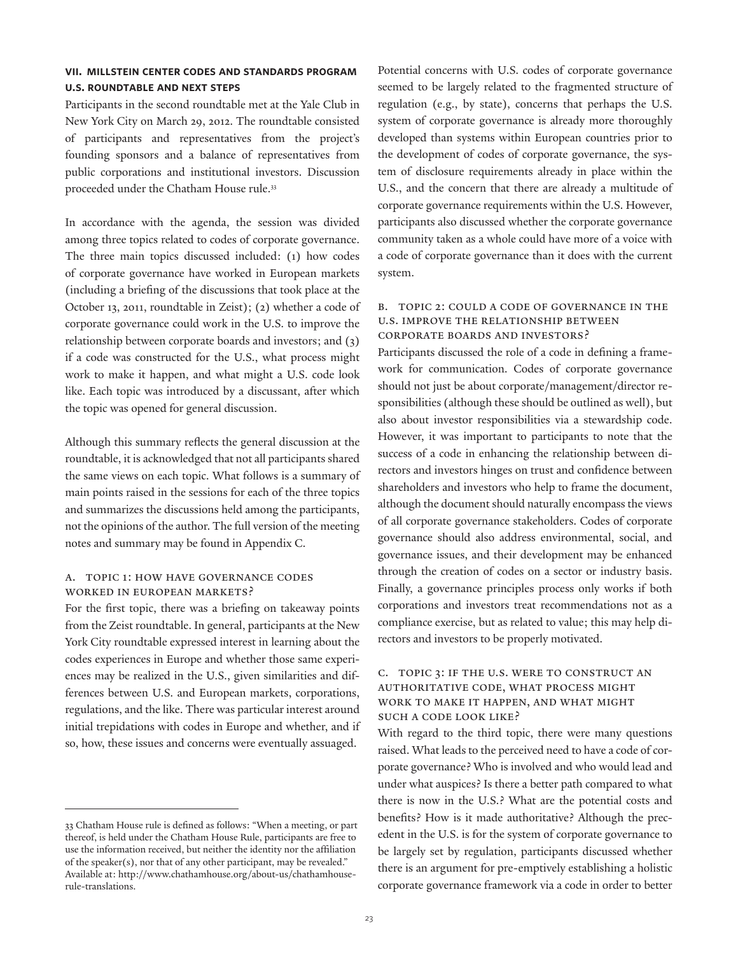# **vii. millstein center codes and standards program u.s. roundtable and next steps**

Participants in the second roundtable met at the Yale Club in New York City on March 29, 2012. The roundtable consisted of participants and representatives from the project's founding sponsors and a balance of representatives from public corporations and institutional investors. Discussion proceeded under the Chatham House rule.33

In accordance with the agenda, the session was divided among three topics related to codes of corporate governance. The three main topics discussed included: (1) how codes of corporate governance have worked in European markets (including a briefing of the discussions that took place at the October 13, 2011, roundtable in Zeist); (2) whether a code of corporate governance could work in the U.S. to improve the relationship between corporate boards and investors; and (3) if a code was constructed for the U.S., what process might work to make it happen, and what might a U.S. code look like. Each topic was introduced by a discussant, after which the topic was opened for general discussion.

Although this summary reflects the general discussion at the roundtable, it is acknowledged that not all participants shared the same views on each topic. What follows is a summary of main points raised in the sessions for each of the three topics and summarizes the discussions held among the participants, not the opinions of the author. The full version of the meeting notes and summary may be found in Appendix C.

# a. Topic 1: How have governance codes worked in European markets?

For the first topic, there was a briefing on takeaway points from the Zeist roundtable. In general, participants at the New York City roundtable expressed interest in learning about the codes experiences in Europe and whether those same experiences may be realized in the U.S., given similarities and differences between U.S. and European markets, corporations, regulations, and the like. There was particular interest around initial trepidations with codes in Europe and whether, and if so, how, these issues and concerns were eventually assuaged.

Potential concerns with U.S. codes of corporate governance seemed to be largely related to the fragmented structure of regulation (e.g., by state), concerns that perhaps the U.S. system of corporate governance is already more thoroughly developed than systems within European countries prior to the development of codes of corporate governance, the system of disclosure requirements already in place within the U.S., and the concern that there are already a multitude of corporate governance requirements within the U.S. However, participants also discussed whether the corporate governance community taken as a whole could have more of a voice with a code of corporate governance than it does with the current system.

# b. Topic 2: Could a code of governance in the U.S. improve the relationship between corporate boards and investors?

Participants discussed the role of a code in defining a framework for communication. Codes of corporate governance should not just be about corporate/management/director responsibilities (although these should be outlined as well), but also about investor responsibilities via a stewardship code. However, it was important to participants to note that the success of a code in enhancing the relationship between directors and investors hinges on trust and confidence between shareholders and investors who help to frame the document, although the document should naturally encompass the views of all corporate governance stakeholders. Codes of corporate governance should also address environmental, social, and governance issues, and their development may be enhanced through the creation of codes on a sector or industry basis. Finally, a governance principles process only works if both corporations and investors treat recommendations not as a compliance exercise, but as related to value; this may help directors and investors to be properly motivated.

# c. Topic 3: If the U.S. were to construct an authoritative code, what process might work to make it happen, and what might such a code look like?

With regard to the third topic, there were many questions raised. What leads to the perceived need to have a code of corporate governance? Who is involved and who would lead and under what auspices? Is there a better path compared to what there is now in the U.S.? What are the potential costs and benefits? How is it made authoritative? Although the precedent in the U.S. is for the system of corporate governance to be largely set by regulation, participants discussed whether there is an argument for pre-emptively establishing a holistic corporate governance framework via a code in order to better

<sup>33</sup> Chatham House rule is defined as follows: "When a meeting, or part thereof, is held under the Chatham House Rule, participants are free to use the information received, but neither the identity nor the affiliation of the speaker(s), nor that of any other participant, may be revealed." Available at: http://www.chathamhouse.org/about-us/chathamhouserule-translations.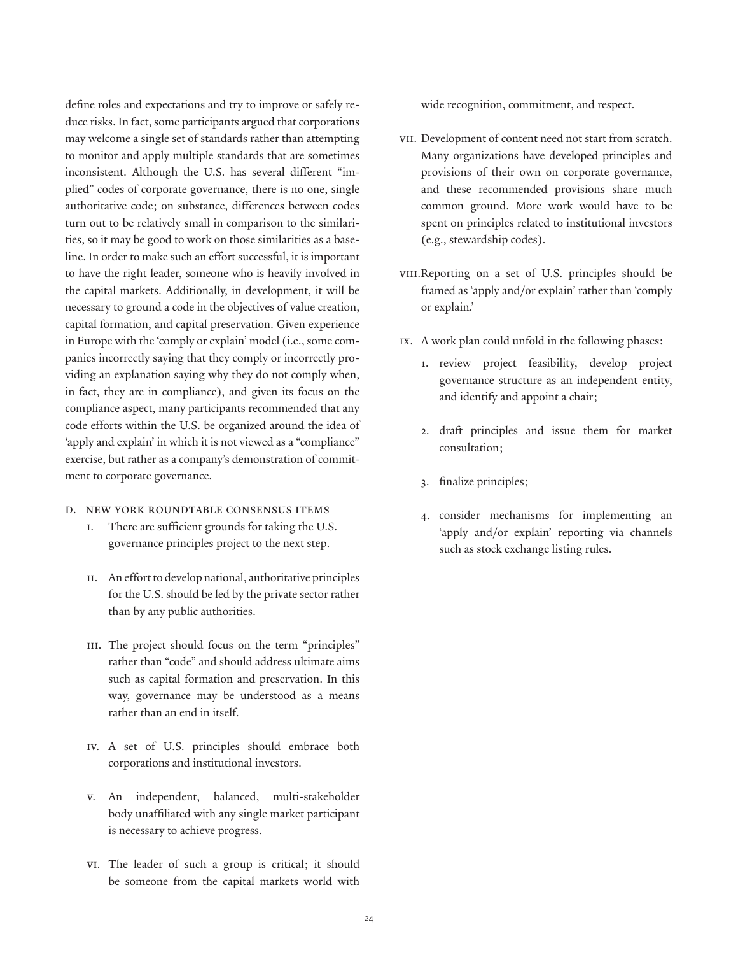define roles and expectations and try to improve or safely reduce risks. In fact, some participants argued that corporations may welcome a single set of standards rather than attempting to monitor and apply multiple standards that are sometimes inconsistent. Although the U.S. has several different "implied" codes of corporate governance, there is no one, single authoritative code; on substance, differences between codes turn out to be relatively small in comparison to the similarities, so it may be good to work on those similarities as a baseline. In order to make such an effort successful, it is important to have the right leader, someone who is heavily involved in the capital markets. Additionally, in development, it will be necessary to ground a code in the objectives of value creation, capital formation, and capital preservation. Given experience in Europe with the 'comply or explain' model (i.e., some companies incorrectly saying that they comply or incorrectly providing an explanation saying why they do not comply when, in fact, they are in compliance), and given its focus on the compliance aspect, many participants recommended that any code efforts within the U.S. be organized around the idea of 'apply and explain' in which it is not viewed as a "compliance" exercise, but rather as a company's demonstration of commitment to corporate governance.

- d. New York roundtable consensus items
	- i. There are sufficient grounds for taking the U.S. governance principles project to the next step.
	- ii. An effort to develop national, authoritative principles for the U.S. should be led by the private sector rather than by any public authorities.
	- III. The project should focus on the term "principles" rather than "code" and should address ultimate aims such as capital formation and preservation. In this way, governance may be understood as a means rather than an end in itself.
	- iv. A set of U.S. principles should embrace both corporations and institutional investors.
	- v. An independent, balanced, multi-stakeholder body unaffiliated with any single market participant is necessary to achieve progress.
	- vi. The leader of such a group is critical; it should be someone from the capital markets world with

wide recognition, commitment, and respect.

- vii. Development of content need not start from scratch. Many organizations have developed principles and provisions of their own on corporate governance, and these recommended provisions share much common ground. More work would have to be spent on principles related to institutional investors (e.g., stewardship codes).
- viii.Reporting on a set of U.S. principles should be framed as 'apply and/or explain' rather than 'comply or explain.'
- ix. A work plan could unfold in the following phases:
	- 1. review project feasibility, develop project governance structure as an independent entity, and identify and appoint a chair;
	- 2. draft principles and issue them for market consultation;
	- finalize principles;
	- 4. consider mechanisms for implementing an 'apply and/or explain' reporting via channels such as stock exchange listing rules.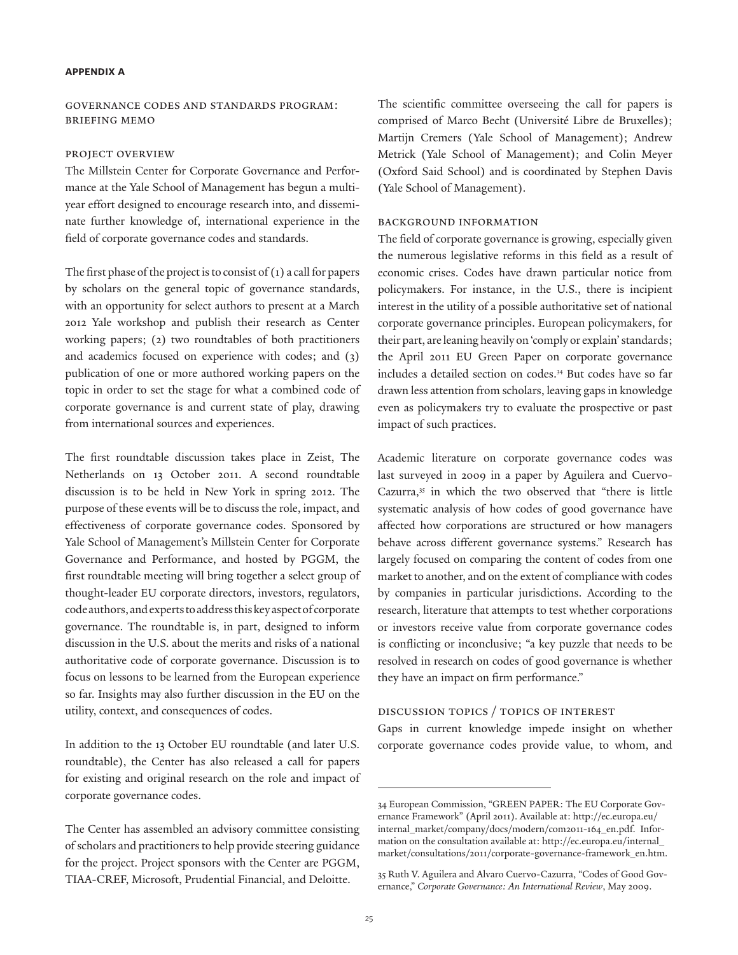### **appendix a**

## Governance Codes and Standards Program: Briefing Memo

#### Project Overview

The Millstein Center for Corporate Governance and Performance at the Yale School of Management has begun a multiyear effort designed to encourage research into, and disseminate further knowledge of, international experience in the field of corporate governance codes and standards.

The first phase of the project is to consist of (1) a call for papers by scholars on the general topic of governance standards, with an opportunity for select authors to present at a March 2012 Yale workshop and publish their research as Center working papers; (2) two roundtables of both practitioners and academics focused on experience with codes; and (3) publication of one or more authored working papers on the topic in order to set the stage for what a combined code of corporate governance is and current state of play, drawing from international sources and experiences.

The first roundtable discussion takes place in Zeist, The Netherlands on 13 October 2011. A second roundtable discussion is to be held in New York in spring 2012. The purpose of these events will be to discuss the role, impact, and effectiveness of corporate governance codes. Sponsored by Yale School of Management's Millstein Center for Corporate Governance and Performance, and hosted by PGGM, the first roundtable meeting will bring together a select group of thought-leader EU corporate directors, investors, regulators, code authors, and experts to address this key aspect of corporate governance. The roundtable is, in part, designed to inform discussion in the U.S. about the merits and risks of a national authoritative code of corporate governance. Discussion is to focus on lessons to be learned from the European experience so far. Insights may also further discussion in the EU on the utility, context, and consequences of codes.

In addition to the 13 October EU roundtable (and later U.S. roundtable), the Center has also released a call for papers for existing and original research on the role and impact of corporate governance codes.

The Center has assembled an advisory committee consisting of scholars and practitioners to help provide steering guidance for the project. Project sponsors with the Center are PGGM, TIAA-CREF, Microsoft, Prudential Financial, and Deloitte.

The scientific committee overseeing the call for papers is comprised of Marco Becht (Université Libre de Bruxelles); Martijn Cremers (Yale School of Management); Andrew Metrick (Yale School of Management); and Colin Meyer (Oxford Said School) and is coordinated by Stephen Davis (Yale School of Management).

## Background Information

The field of corporate governance is growing, especially given the numerous legislative reforms in this field as a result of economic crises. Codes have drawn particular notice from policymakers. For instance, in the U.S., there is incipient interest in the utility of a possible authoritative set of national corporate governance principles. European policymakers, for their part, are leaning heavily on 'comply or explain' standards; the April 2011 EU Green Paper on corporate governance includes a detailed section on codes.34 But codes have so far drawn less attention from scholars, leaving gaps in knowledge even as policymakers try to evaluate the prospective or past impact of such practices.

Academic literature on corporate governance codes was last surveyed in 2009 in a paper by Aguilera and Cuervo-Cazurra,<sup>35</sup> in which the two observed that "there is little systematic analysis of how codes of good governance have affected how corporations are structured or how managers behave across different governance systems." Research has largely focused on comparing the content of codes from one market to another, and on the extent of compliance with codes by companies in particular jurisdictions. According to the research, literature that attempts to test whether corporations or investors receive value from corporate governance codes is conflicting or inconclusive; "a key puzzle that needs to be resolved in research on codes of good governance is whether they have an impact on firm performance."

# Discussion Topics / Topics of Interest

Gaps in current knowledge impede insight on whether corporate governance codes provide value, to whom, and

<sup>34</sup> European Commission, "GREEN PAPER: The EU Corporate Governance Framework" (April 2011). Available at: http://ec.europa.eu/ internal\_market/company/docs/modern/com2011-164\_en.pdf. Information on the consultation available at: http://ec.europa.eu/internal\_ market/consultations/2011/corporate-governance-framework\_en.htm.

<sup>35</sup> Ruth V. Aguilera and Alvaro Cuervo-Cazurra, "Codes of Good Governance," *Corporate Governance: An International Review*, May 2009.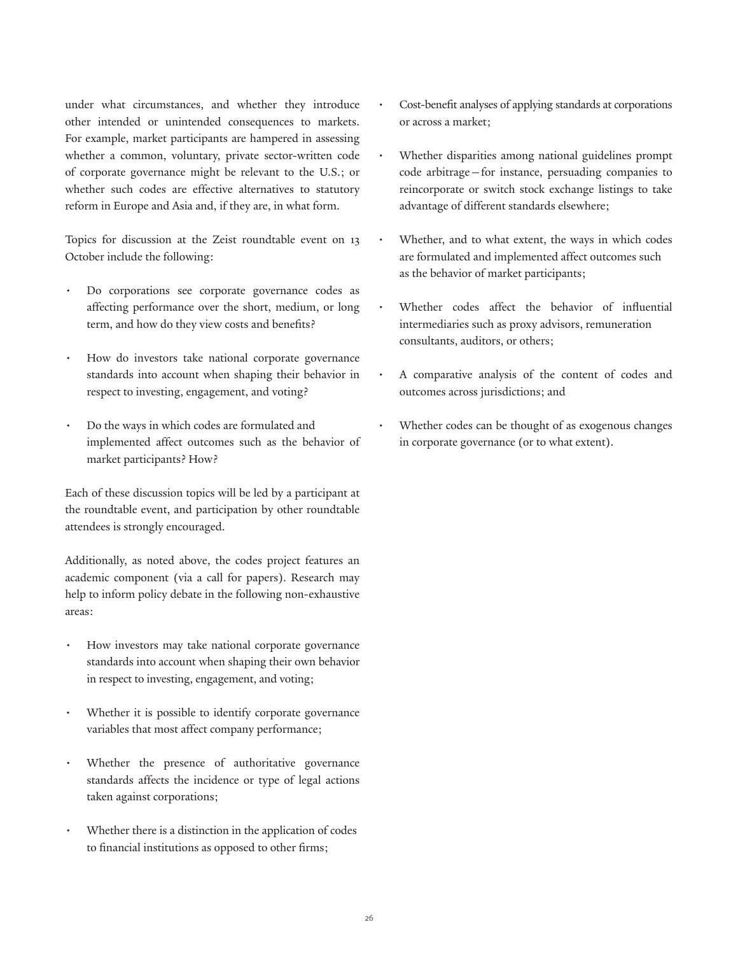under what circumstances, and whether they introduce other intended or unintended consequences to markets. For example, market participants are hampered in assessing whether a common, voluntary, private sector-written code of corporate governance might be relevant to the U.S.; or whether such codes are effective alternatives to statutory reform in Europe and Asia and, if they are, in what form.

Topics for discussion at the Zeist roundtable event on 13 October include the following:

- Do corporations see corporate governance codes as affecting performance over the short, medium, or long term, and how do they view costs and benefits?
- How do investors take national corporate governance standards into account when shaping their behavior in respect to investing, engagement, and voting?
- Do the ways in which codes are formulated and implemented affect outcomes such as the behavior of market participants? How?

Each of these discussion topics will be led by a participant at the roundtable event, and participation by other roundtable attendees is strongly encouraged.

Additionally, as noted above, the codes project features an academic component (via a call for papers). Research may help to inform policy debate in the following non-exhaustive areas:

- How investors may take national corporate governance standards into account when shaping their own behavior in respect to investing, engagement, and voting;
- Whether it is possible to identify corporate governance variables that most affect company performance;
- Whether the presence of authoritative governance standards affects the incidence or type of legal actions taken against corporations;
- Whether there is a distinction in the application of codes to financial institutions as opposed to other firms;
- Cost-benefit analyses of applying standards at corporations or across a market;
- Whether disparities among national guidelines prompt code arbitrage—for instance, persuading companies to reincorporate or switch stock exchange listings to take advantage of different standards elsewhere;
- Whether, and to what extent, the ways in which codes are formulated and implemented affect outcomes such as the behavior of market participants;
- Whether codes affect the behavior of influential intermediaries such as proxy advisors, remuneration consultants, auditors, or others;
- A comparative analysis of the content of codes and outcomes across jurisdictions; and
- Whether codes can be thought of as exogenous changes in corporate governance (or to what extent).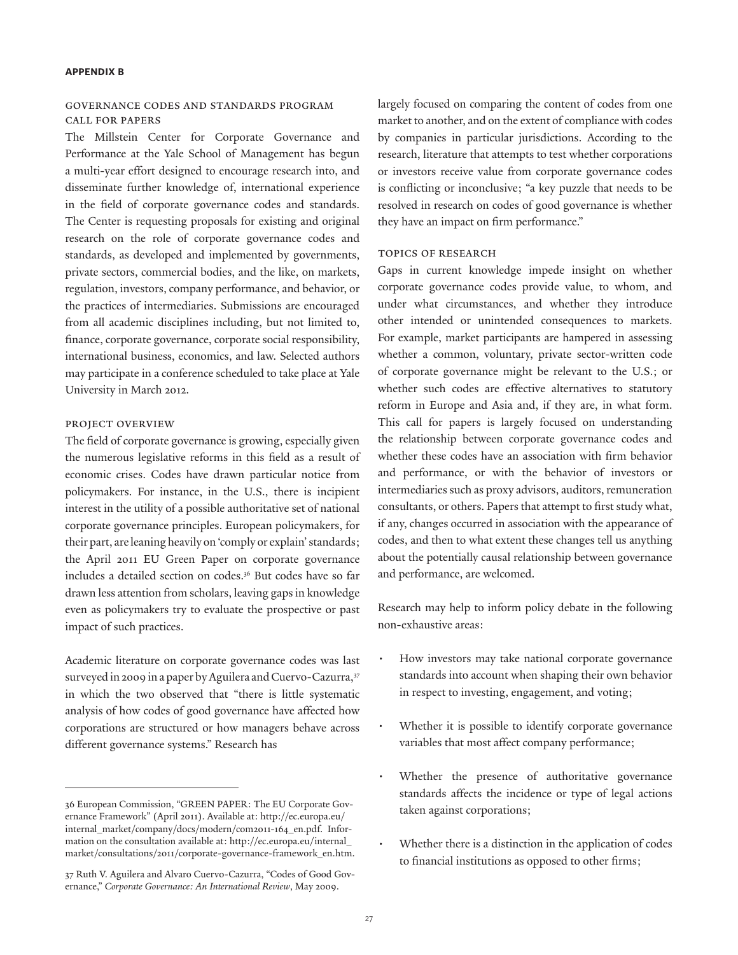#### **appendix b**

## Governance Codes and Standards Program Call for Papers

The Millstein Center for Corporate Governance and Performance at the Yale School of Management has begun a multi-year effort designed to encourage research into, and disseminate further knowledge of, international experience in the field of corporate governance codes and standards. The Center is requesting proposals for existing and original research on the role of corporate governance codes and standards, as developed and implemented by governments, private sectors, commercial bodies, and the like, on markets, regulation, investors, company performance, and behavior, or the practices of intermediaries. Submissions are encouraged from all academic disciplines including, but not limited to, finance, corporate governance, corporate social responsibility, international business, economics, and law. Selected authors may participate in a conference scheduled to take place at Yale University in March 2012.

# Project Overview

The field of corporate governance is growing, especially given the numerous legislative reforms in this field as a result of economic crises. Codes have drawn particular notice from policymakers. For instance, in the U.S., there is incipient interest in the utility of a possible authoritative set of national corporate governance principles. European policymakers, for their part, are leaning heavily on 'comply or explain' standards; the April 2011 EU Green Paper on corporate governance includes a detailed section on codes.<sup>36</sup> But codes have so far drawn less attention from scholars, leaving gaps in knowledge even as policymakers try to evaluate the prospective or past impact of such practices.

Academic literature on corporate governance codes was last surveyed in 2009 in a paper by Aguilera and Cuervo-Cazurra,<sup>37</sup> in which the two observed that "there is little systematic analysis of how codes of good governance have affected how corporations are structured or how managers behave across different governance systems." Research has

largely focused on comparing the content of codes from one market to another, and on the extent of compliance with codes by companies in particular jurisdictions. According to the research, literature that attempts to test whether corporations or investors receive value from corporate governance codes is conflicting or inconclusive; "a key puzzle that needs to be resolved in research on codes of good governance is whether they have an impact on firm performance."

## Topics of Research

Gaps in current knowledge impede insight on whether corporate governance codes provide value, to whom, and under what circumstances, and whether they introduce other intended or unintended consequences to markets. For example, market participants are hampered in assessing whether a common, voluntary, private sector-written code of corporate governance might be relevant to the U.S.; or whether such codes are effective alternatives to statutory reform in Europe and Asia and, if they are, in what form. This call for papers is largely focused on understanding the relationship between corporate governance codes and whether these codes have an association with firm behavior and performance, or with the behavior of investors or intermediaries such as proxy advisors, auditors, remuneration consultants, or others. Papers that attempt to first study what, if any, changes occurred in association with the appearance of codes, and then to what extent these changes tell us anything about the potentially causal relationship between governance and performance, are welcomed.

Research may help to inform policy debate in the following non-exhaustive areas:

- How investors may take national corporate governance standards into account when shaping their own behavior in respect to investing, engagement, and voting;
- Whether it is possible to identify corporate governance variables that most affect company performance;
- Whether the presence of authoritative governance standards affects the incidence or type of legal actions taken against corporations;
- Whether there is a distinction in the application of codes to financial institutions as opposed to other firms;

<sup>36</sup> European Commission, "GREEN PAPER: The EU Corporate Governance Framework" (April 2011). Available at: http://ec.europa.eu/ internal\_market/company/docs/modern/com2011-164\_en.pdf. Information on the consultation available at: http://ec.europa.eu/internal\_ market/consultations/2011/corporate-governance-framework\_en.htm.

<sup>37</sup> Ruth V. Aguilera and Alvaro Cuervo-Cazurra, "Codes of Good Governance," *Corporate Governance: An International Review*, May 2009.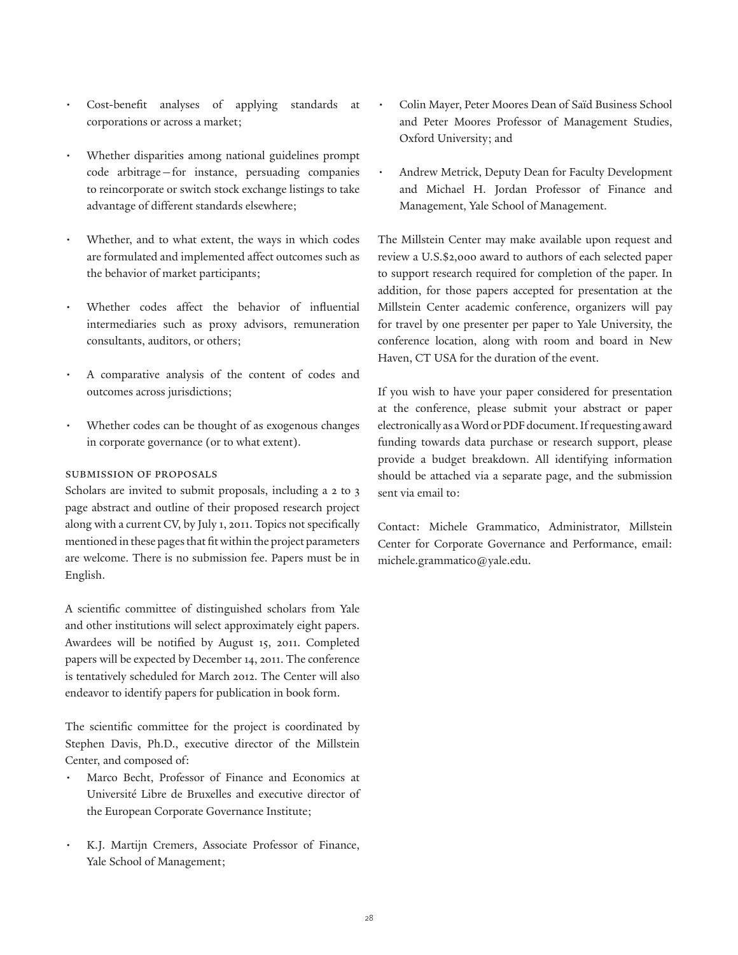- Cost-benefit analyses of applying standards at corporations or across a market;
- Whether disparities among national guidelines prompt code arbitrage—for instance, persuading companies to reincorporate or switch stock exchange listings to take advantage of different standards elsewhere;
- Whether, and to what extent, the ways in which codes are formulated and implemented affect outcomes such as the behavior of market participants;
- Whether codes affect the behavior of influential intermediaries such as proxy advisors, remuneration consultants, auditors, or others;
- A comparative analysis of the content of codes and outcomes across jurisdictions;
- Whether codes can be thought of as exogenous changes in corporate governance (or to what extent).

# Submission of Proposals

Scholars are invited to submit proposals, including a 2 to 3 page abstract and outline of their proposed research project along with a current CV, by July 1, 2011. Topics not specifically mentioned in these pages that fit within the project parameters are welcome. There is no submission fee. Papers must be in English.

A scientific committee of distinguished scholars from Yale and other institutions will select approximately eight papers. Awardees will be notified by August 15, 2011. Completed papers will be expected by December 14, 2011. The conference is tentatively scheduled for March 2012. The Center will also endeavor to identify papers for publication in book form.

The scientific committee for the project is coordinated by Stephen Davis, Ph.D., executive director of the Millstein Center, and composed of:

- Marco Becht, Professor of Finance and Economics at Université Libre de Bruxelles and executive director of the European Corporate Governance Institute;
- K.J. Martijn Cremers, Associate Professor of Finance, Yale School of Management;
- Colin Mayer, Peter Moores Dean of Saïd Business School and Peter Moores Professor of Management Studies, Oxford University; and
- Andrew Metrick, Deputy Dean for Faculty Development and Michael H. Jordan Professor of Finance and Management, Yale School of Management.

The Millstein Center may make available upon request and review a U.S.\$2,000 award to authors of each selected paper to support research required for completion of the paper. In addition, for those papers accepted for presentation at the Millstein Center academic conference, organizers will pay for travel by one presenter per paper to Yale University, the conference location, along with room and board in New Haven, CT USA for the duration of the event.

If you wish to have your paper considered for presentation at the conference, please submit your abstract or paper electronically as a Word or PDF document. If requesting award funding towards data purchase or research support, please provide a budget breakdown. All identifying information should be attached via a separate page, and the submission sent via email to:

Contact: Michele Grammatico, Administrator, Millstein Center for Corporate Governance and Performance, email: michele.grammatico@yale.edu.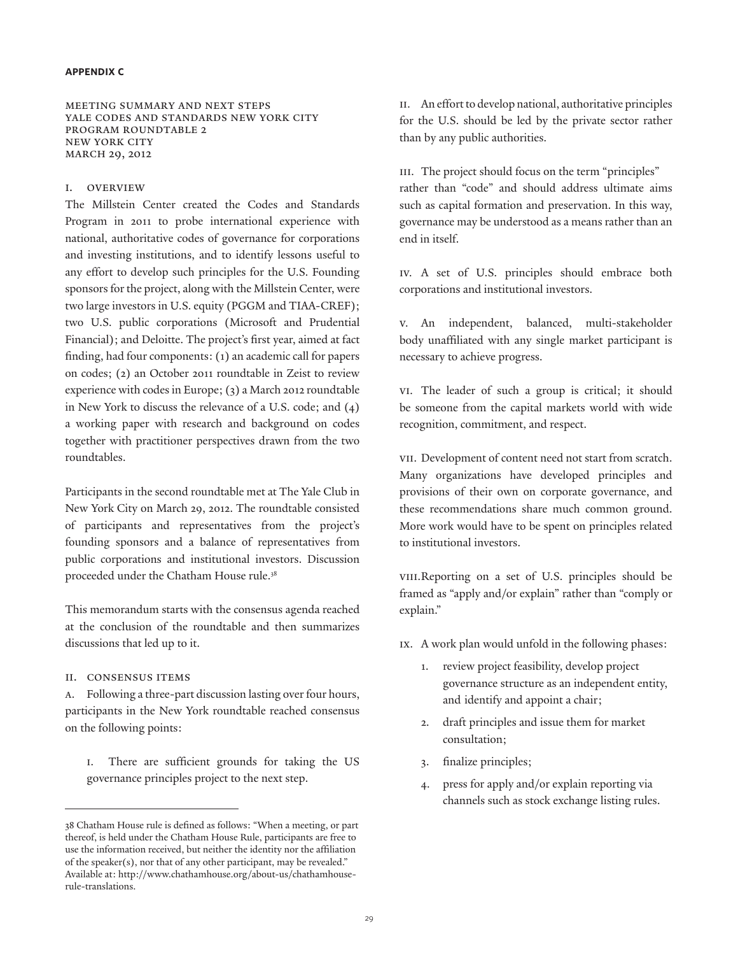#### **appendix c**

Meeting Summary and Next Steps YALE CODES AND STANDARDS NEW YORK CITY PROGRAM ROUNDTABLE 2 New York City MARCH 29, 2012

## I. OVERVIEW

The Millstein Center created the Codes and Standards Program in 2011 to probe international experience with national, authoritative codes of governance for corporations and investing institutions, and to identify lessons useful to any effort to develop such principles for the U.S. Founding sponsors for the project, along with the Millstein Center, were two large investors in U.S. equity (PGGM and TIAA-CREF); two U.S. public corporations (Microsoft and Prudential Financial); and Deloitte. The project's first year, aimed at fact finding, had four components: (1) an academic call for papers on codes; (2) an October 2011 roundtable in Zeist to review experience with codes in Europe; (3) a March 2012 roundtable in New York to discuss the relevance of a U.S. code; and (4) a working paper with research and background on codes together with practitioner perspectives drawn from the two roundtables.

Participants in the second roundtable met at The Yale Club in New York City on March 29, 2012. The roundtable consisted of participants and representatives from the project's founding sponsors and a balance of representatives from public corporations and institutional investors. Discussion proceeded under the Chatham House rule.<sup>38</sup>

This memorandum starts with the consensus agenda reached at the conclusion of the roundtable and then summarizes discussions that led up to it.

II. Consensus items

a. Following a three-part discussion lasting over four hours, participants in the New York roundtable reached consensus on the following points:

i. There are sufficient grounds for taking the US governance principles project to the next step.

ii. An effort to develop national, authoritative principles for the U.S. should be led by the private sector rather than by any public authorities.

III. The project should focus on the term "principles" rather than "code" and should address ultimate aims such as capital formation and preservation. In this way, governance may be understood as a means rather than an end in itself.

iv. A set of U.S. principles should embrace both corporations and institutional investors.

v. An independent, balanced, multi-stakeholder body unaffiliated with any single market participant is necessary to achieve progress.

vi. The leader of such a group is critical; it should be someone from the capital markets world with wide recognition, commitment, and respect.

vii. Development of content need not start from scratch. Many organizations have developed principles and provisions of their own on corporate governance, and these recommendations share much common ground. More work would have to be spent on principles related to institutional investors.

viii.Reporting on a set of U.S. principles should be framed as "apply and/or explain" rather than "comply or explain."

- ix. A work plan would unfold in the following phases:
	- 1. review project feasibility, develop project governance structure as an independent entity, and identify and appoint a chair;
	- 2. draft principles and issue them for market consultation;
	- 3. finalize principles;
	- 4. press for apply and/or explain reporting via channels such as stock exchange listing rules.

<sup>38</sup> Chatham House rule is defined as follows: "When a meeting, or part thereof, is held under the Chatham House Rule, participants are free to use the information received, but neither the identity nor the affiliation of the speaker(s), nor that of any other participant, may be revealed." Available at: http://www.chathamhouse.org/about-us/chathamhouserule-translations.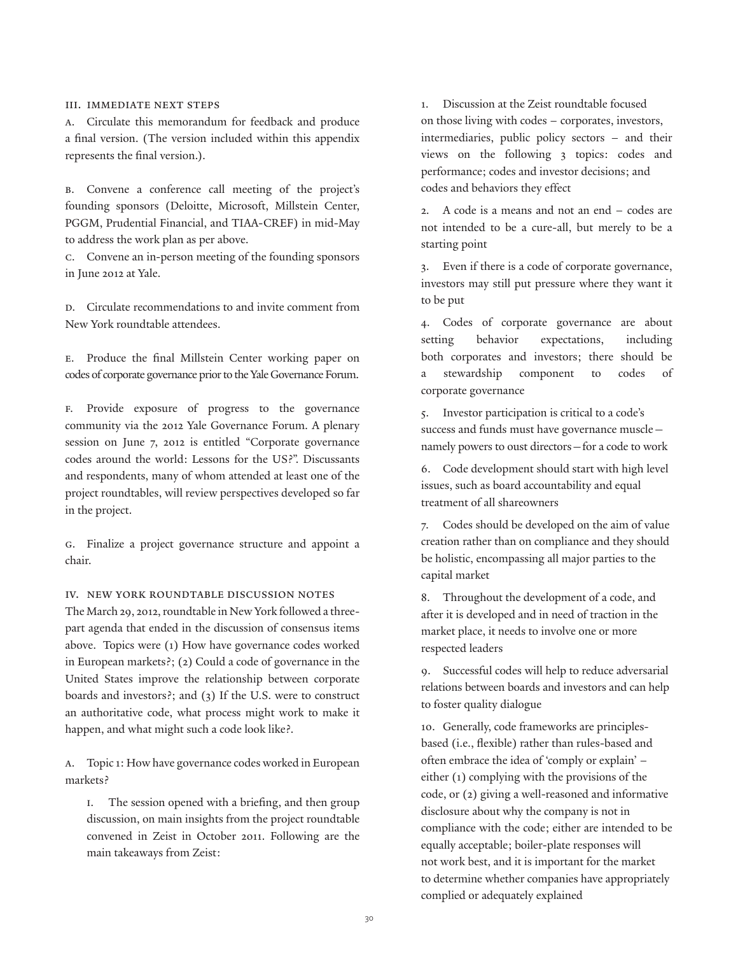### III. Immediate next steps

a. Circulate this memorandum for feedback and produce a final version. (The version included within this appendix represents the final version.).

b. Convene a conference call meeting of the project's founding sponsors (Deloitte, Microsoft, Millstein Center, PGGM, Prudential Financial, and TIAA-CREF) in mid-May to address the work plan as per above.

c. Convene an in-person meeting of the founding sponsors in June 2012 at Yale.

D. Circulate recommendations to and invite comment from New York roundtable attendees.

e. Produce the final Millstein Center working paper on codes of corporate governance prior to the Yale Governance Forum.

f. Provide exposure of progress to the governance community via the 2012 Yale Governance Forum. A plenary session on June 7, 2012 is entitled "Corporate governance codes around the world: Lessons for the US?". Discussants and respondents, many of whom attended at least one of the project roundtables, will review perspectives developed so far in the project.

g. Finalize a project governance structure and appoint a chair.

## IV. New York roundtable discussion notes

The March 29, 2012, roundtable in New York followed a threepart agenda that ended in the discussion of consensus items above. Topics were (1) How have governance codes worked in European markets?; (2) Could a code of governance in the United States improve the relationship between corporate boards and investors?; and (3) If the U.S. were to construct an authoritative code, what process might work to make it happen, and what might such a code look like?.

a. Topic 1: How have governance codes worked in European markets?

i. The session opened with a briefing, and then group discussion, on main insights from the project roundtable convened in Zeist in October 2011. Following are the main takeaways from Zeist:

1. Discussion at the Zeist roundtable focused on those living with codes – corporates, investors, intermediaries, public policy sectors – and their views on the following 3 topics: codes and performance; codes and investor decisions; and codes and behaviors they effect

2. A code is a means and not an end – codes are not intended to be a cure-all, but merely to be a starting point

3. Even if there is a code of corporate governance, investors may still put pressure where they want it to be put

4. Codes of corporate governance are about setting behavior expectations, including both corporates and investors; there should be a stewardship component to codes of corporate governance

5. Investor participation is critical to a code's success and funds must have governance muscle namely powers to oust directors—for a code to work

6. Code development should start with high level issues, such as board accountability and equal treatment of all shareowners

7. Codes should be developed on the aim of value creation rather than on compliance and they should be holistic, encompassing all major parties to the capital market

8. Throughout the development of a code, and after it is developed and in need of traction in the market place, it needs to involve one or more respected leaders

9. Successful codes will help to reduce adversarial relations between boards and investors and can help to foster quality dialogue

10. Generally, code frameworks are principlesbased (i.e., flexible) rather than rules-based and often embrace the idea of 'comply or explain' – either (1) complying with the provisions of the code, or (2) giving a well-reasoned and informative disclosure about why the company is not in compliance with the code; either are intended to be equally acceptable; boiler-plate responses will not work best, and it is important for the market to determine whether companies have appropriately complied or adequately explained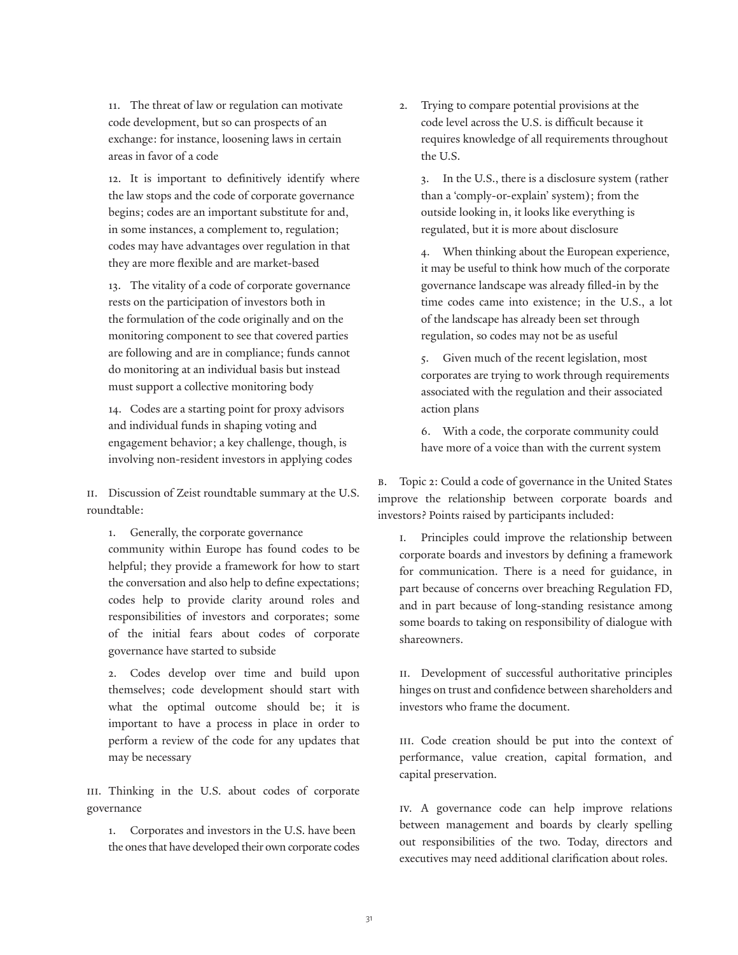11. The threat of law or regulation can motivate code development, but so can prospects of an exchange: for instance, loosening laws in certain areas in favor of a code

12. It is important to definitively identify where the law stops and the code of corporate governance begins; codes are an important substitute for and, in some instances, a complement to, regulation; codes may have advantages over regulation in that they are more flexible and are market-based

13. The vitality of a code of corporate governance rests on the participation of investors both in the formulation of the code originally and on the monitoring component to see that covered parties are following and are in compliance; funds cannot do monitoring at an individual basis but instead must support a collective monitoring body

14. Codes are a starting point for proxy advisors and individual funds in shaping voting and engagement behavior; a key challenge, though, is involving non-resident investors in applying codes

ii. Discussion of Zeist roundtable summary at the U.S. roundtable:

1. Generally, the corporate governance community within Europe has found codes to be helpful; they provide a framework for how to start the conversation and also help to define expectations; codes help to provide clarity around roles and responsibilities of investors and corporates; some

of the initial fears about codes of corporate governance have started to subside

2. Codes develop over time and build upon themselves; code development should start with what the optimal outcome should be; it is important to have a process in place in order to perform a review of the code for any updates that may be necessary

III. Thinking in the U.S. about codes of corporate governance

1. Corporates and investors in the U.S. have been the ones that have developed their own corporate codes 2. Trying to compare potential provisions at the code level across the U.S. is difficult because it requires knowledge of all requirements throughout the U.S.

3. In the U.S., there is a disclosure system (rather than a 'comply-or-explain' system); from the outside looking in, it looks like everything is regulated, but it is more about disclosure

4. When thinking about the European experience, it may be useful to think how much of the corporate governance landscape was already filled-in by the time codes came into existence; in the U.S., a lot of the landscape has already been set through regulation, so codes may not be as useful

5. Given much of the recent legislation, most corporates are trying to work through requirements associated with the regulation and their associated action plans

6. With a code, the corporate community could have more of a voice than with the current system

b. Topic 2: Could a code of governance in the United States improve the relationship between corporate boards and investors? Points raised by participants included:

i. Principles could improve the relationship between corporate boards and investors by defining a framework for communication. There is a need for guidance, in part because of concerns over breaching Regulation FD, and in part because of long-standing resistance among some boards to taking on responsibility of dialogue with shareowners.

II. Development of successful authoritative principles hinges on trust and confidence between shareholders and investors who frame the document.

III. Code creation should be put into the context of performance, value creation, capital formation, and capital preservation.

iv. A governance code can help improve relations between management and boards by clearly spelling out responsibilities of the two. Today, directors and executives may need additional clarification about roles.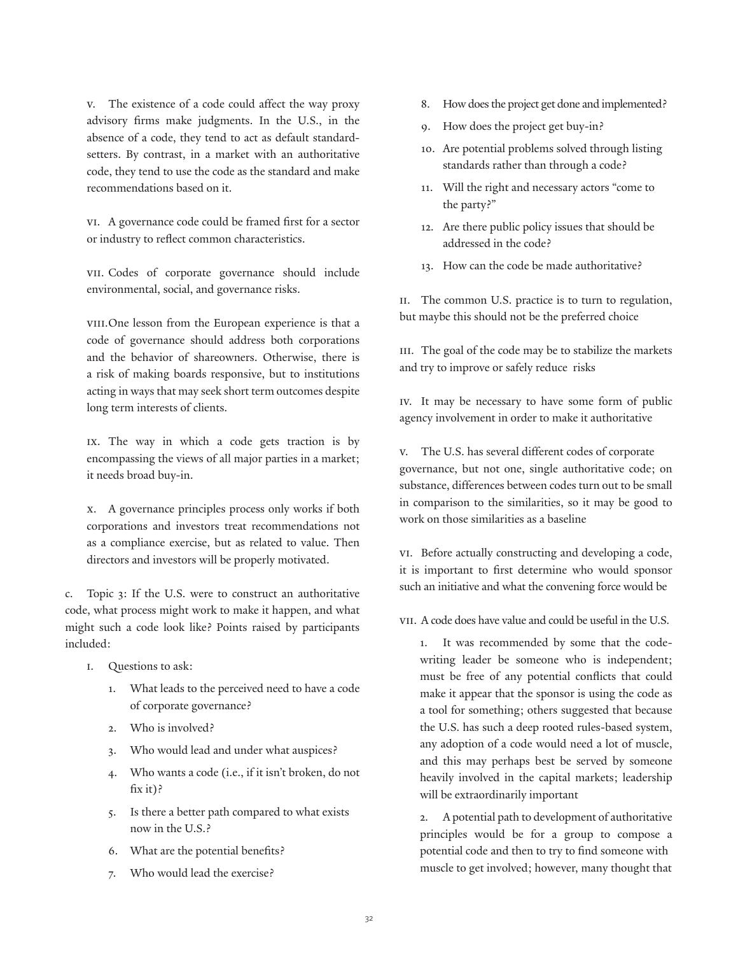v. The existence of a code could affect the way proxy advisory firms make judgments. In the U.S., in the absence of a code, they tend to act as default standardsetters. By contrast, in a market with an authoritative code, they tend to use the code as the standard and make recommendations based on it.

vi. A governance code could be framed first for a sector or industry to reflect common characteristics.

vii. Codes of corporate governance should include environmental, social, and governance risks.

vIII. One lesson from the European experience is that a code of governance should address both corporations and the behavior of shareowners. Otherwise, there is a risk of making boards responsive, but to institutions acting in ways that may seek short term outcomes despite long term interests of clients.

ix. The way in which a code gets traction is by encompassing the views of all major parties in a market; it needs broad buy-in.

x. A governance principles process only works if both corporations and investors treat recommendations not as a compliance exercise, but as related to value. Then directors and investors will be properly motivated.

c. Topic 3: If the U.S. were to construct an authoritative code, what process might work to make it happen, and what might such a code look like? Points raised by participants included:

- i. Questions to ask:
	- 1. What leads to the perceived need to have a code of corporate governance?
	- 2. Who is involved?
	- 3. Who would lead and under what auspices?
	- 4. Who wants a code (i.e., if it isn't broken, do not fix it)?
	- 5. Is there a better path compared to what exists now in the U.S.?
	- 6. What are the potential benefits?
	- 7. Who would lead the exercise?
- 8. How does the project get done and implemented?
- 9. How does the project get buy-in?
- 10. Are potential problems solved through listing standards rather than through a code?
- 11. Will the right and necessary actors "come to the party?"
- 12. Are there public policy issues that should be addressed in the code?
- 13. How can the code be made authoritative?

II. The common U.S. practice is to turn to regulation, but maybe this should not be the preferred choice

III. The goal of the code may be to stabilize the markets and try to improve or safely reduce risks

iv. It may be necessary to have some form of public agency involvement in order to make it authoritative

v. The U.S. has several different codes of corporate governance, but not one, single authoritative code; on substance, differences between codes turn out to be small in comparison to the similarities, so it may be good to work on those similarities as a baseline

vi. Before actually constructing and developing a code, it is important to first determine who would sponsor such an initiative and what the convening force would be

vii. A code does have value and could be useful in the U.S.

1. It was recommended by some that the codewriting leader be someone who is independent; must be free of any potential conflicts that could make it appear that the sponsor is using the code as a tool for something; others suggested that because the U.S. has such a deep rooted rules-based system, any adoption of a code would need a lot of muscle, and this may perhaps best be served by someone heavily involved in the capital markets; leadership will be extraordinarily important

2. A potential path to development of authoritative principles would be for a group to compose a potential code and then to try to find someone with muscle to get involved; however, many thought that